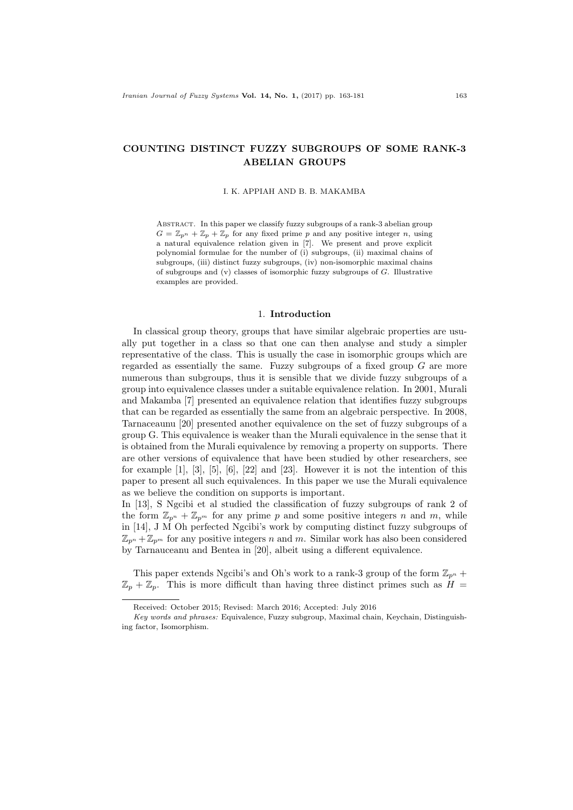# COUNTING DISTINCT FUZZY SUBGROUPS OF SOME RANK-3 ABELIAN GROUPS

#### I. K. APPIAH AND B. B. MAKAMBA

Abstract. In this paper we classify fuzzy subgroups of a rank-3 abelian group  $G = \mathbb{Z}_{p^n} + \mathbb{Z}_p + \mathbb{Z}_p$  for any fixed prime p and any positive integer n, using a natural equivalence relation given in [7]. We present and prove explicit polynomial formulae for the number of (i) subgroups, (ii) maximal chains of subgroups, (iii) distinct fuzzy subgroups, (iv) non-isomorphic maximal chains of subgroups and  $(v)$  classes of isomorphic fuzzy subgroups of  $G$ . Illustrative examples are provided.

#### 1. Introduction

In classical group theory, groups that have similar algebraic properties are usually put together in a class so that one can then analyse and study a simpler representative of the class. This is usually the case in isomorphic groups which are regarded as essentially the same. Fuzzy subgroups of a fixed group  $G$  are more numerous than subgroups, thus it is sensible that we divide fuzzy subgroups of a group into equivalence classes under a suitable equivalence relation. In 2001, Murali and Makamba [7] presented an equivalence relation that identifies fuzzy subgroups that can be regarded as essentially the same from an algebraic perspective. In 2008, Tarnaceaunu [20] presented another equivalence on the set of fuzzy subgroups of a group G. This equivalence is weaker than the Murali equivalence in the sense that it is obtained from the Murali equivalence by removing a property on supports. There are other versions of equivalence that have been studied by other researchers, see for example  $[1]$ ,  $[3]$ ,  $[5]$ ,  $[6]$ ,  $[22]$  and  $[23]$ . However it is not the intention of this paper to present all such equivalences. In this paper we use the Murali equivalence as we believe the condition on supports is important.

In [13], S Ngcibi et al studied the classification of fuzzy subgroups of rank 2 of the form  $\mathbb{Z}_{p^n} + \mathbb{Z}_{p^m}$  for any prime p and some positive integers n and m, while in [14], J M Oh perfected Ngcibi's work by computing distinct fuzzy subgroups of  $\mathbb{Z}_{p^n} + \mathbb{Z}_{p^m}$  for any positive integers n and m. Similar work has also been considered by Tarnauceanu and Bentea in [20], albeit using a different equivalence.

This paper extends Ngcibi's and Oh's work to a rank-3 group of the form  $\mathbb{Z}_{p^n}$  +  $\mathbb{Z}_p + \mathbb{Z}_p$ . This is more difficult than having three distinct primes such as  $H =$ 

Received: October 2015; Revised: March 2016; Accepted: July 2016

Key words and phrases: Equivalence, Fuzzy subgroup, Maximal chain, Keychain, Distinguishing factor, Isomorphism.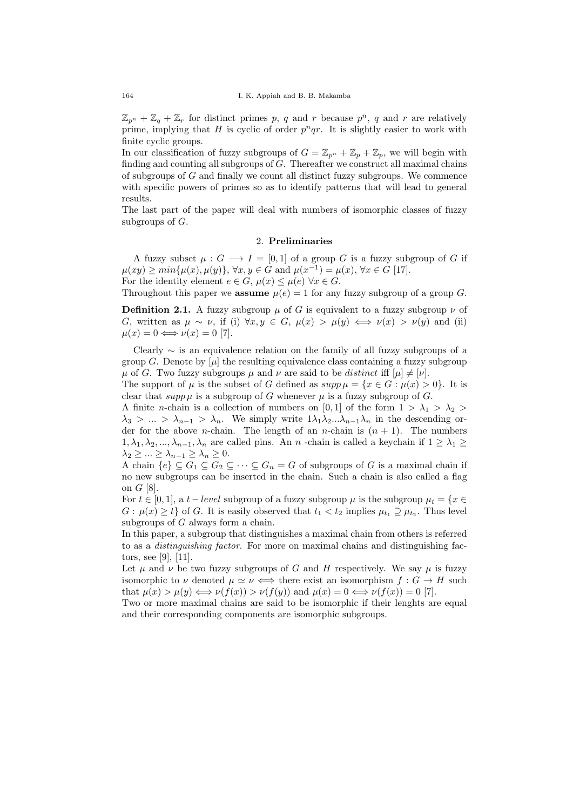$\mathbb{Z}_{p^n} + \mathbb{Z}_q + \mathbb{Z}_r$  for distinct primes p, q and r because  $p^n$ , q and r are relatively prime, implying that H is cyclic of order  $p<sup>n</sup>qr$ . It is slightly easier to work with finite cyclic groups.

In our classification of fuzzy subgroups of  $G = \mathbb{Z}_{p^n} + \mathbb{Z}_p + \mathbb{Z}_p$ , we will begin with finding and counting all subgroups of  $G$ . Thereafter we construct all maximal chains of subgroups of  $G$  and finally we count all distinct fuzzy subgroups. We commence with specific powers of primes so as to identify patterns that will lead to general results.

The last part of the paper will deal with numbers of isomorphic classes of fuzzy subgroups of  $G$ .

#### 2. Preliminaries

A fuzzy subset  $\mu : G \longrightarrow I = [0,1]$  of a group G is a fuzzy subgroup of G if  $\mu(xy) \ge \min\{\mu(x), \mu(y)\}, \forall x, y \in G \text{ and } \mu(x^{-1}) = \mu(x), \forall x \in G \text{ [17]}.$ For the identity element  $e \in G$ ,  $\mu(x) \leq \mu(e) \ \forall x \in G$ .

Throughout this paper we **assume**  $\mu(e) = 1$  for any fuzzy subgroup of a group G.

**Definition 2.1.** A fuzzy subgroup  $\mu$  of G is equivalent to a fuzzy subgroup  $\nu$  of G, written as  $\mu \sim \nu$ , if (i)  $\forall x, y \in G$ ,  $\mu(x) > \mu(y) \iff \nu(x) > \nu(y)$  and (ii)  $\mu(x) = 0 \Longleftrightarrow \nu(x) = 0$  [7].

Clearly ∼ is an equivalence relation on the family of all fuzzy subgroups of a group G. Denote by  $[\mu]$  the resulting equivalence class containing a fuzzy subgroup  $\mu$  of G. Two fuzzy subgroups  $\mu$  and  $\nu$  are said to be *distinct* iff  $[\mu] \neq [\nu]$ .

The support of  $\mu$  is the subset of G defined as  $supp \mu = \{x \in G : \mu(x) > 0\}$ . It is clear that  $supp \mu$  is a subgroup of G whenever  $\mu$  is a fuzzy subgroup of G.

A finite *n*-chain is a collection of numbers on [0, 1] of the form  $1 > \lambda_1 > \lambda_2$  $\lambda_3 > ... > \lambda_{n-1} > \lambda_n$ . We simply write  $1\lambda_1\lambda_2...\lambda_{n-1}\lambda_n$  in the descending order for the above *n*-chain. The length of an *n*-chain is  $(n + 1)$ . The numbers  $1, \lambda_1, \lambda_2, ..., \lambda_{n-1}, \lambda_n$  are called pins. An n-chain is called a keychain if  $1 \geq \lambda_1 \geq$  $\lambda_2 \geq ... \geq \lambda_{n-1} \geq \lambda_n \geq 0.$ 

A chain  $\{e\} \subseteq G_1 \subseteq G_2 \subseteq \cdots \subseteq G_n = G$  of subgroups of G is a maximal chain if no new subgroups can be inserted in the chain. Such a chain is also called a flag on  $G$  [8].

For  $t \in [0, 1]$ , a  $t - level$  subgroup of a fuzzy subgroup  $\mu$  is the subgroup  $\mu_t = \{x \in$  $G: \mu(x) \geq t$  of G. It is easily observed that  $t_1 < t_2$  implies  $\mu_{t_1} \supseteq \mu_{t_2}$ . Thus level subgroups of  $G$  always form a chain.

In this paper, a subgroup that distinguishes a maximal chain from others is referred to as a distinguishing factor. For more on maximal chains and distinguishing factors, see [9], [11].

Let  $\mu$  and  $\nu$  be two fuzzy subgroups of G and H respectively. We say  $\mu$  is fuzzy isomorphic to  $\nu$  denoted  $\mu \simeq \nu \iff$  there exist an isomorphism  $f : G \to H$  such that  $\mu(x) > \mu(y) \Longleftrightarrow \nu(f(x)) > \nu(f(y))$  and  $\mu(x) = 0 \Longleftrightarrow \nu(f(x)) = 0$  [7].

Two or more maximal chains are said to be isomorphic if their lenghts are equal and their corresponding components are isomorphic subgroups.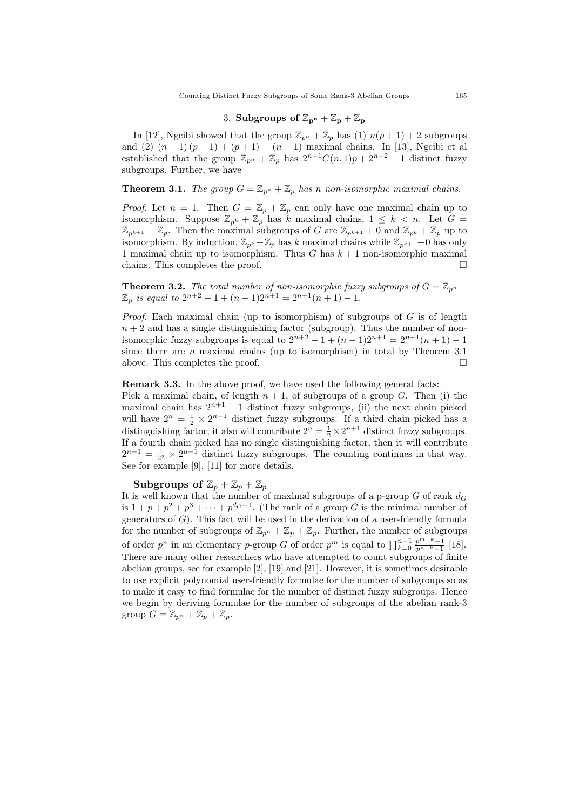### 3. Subgroups of  $\mathbb{Z}_{p^n} + \mathbb{Z}_p + \mathbb{Z}_p$

In [12], Ngcibi showed that the group  $\mathbb{Z}_{p^n} + \mathbb{Z}_p$  has (1)  $n(p+1) + 2$  subgroups and (2)  $(n-1)(p-1) + (p+1) + (n-1)$  maximal chains. In [13], Ngcibi et al established that the group  $\mathbb{Z}_{p^n} + \mathbb{Z}_p$  has  $2^{n+1}C(n, 1)p + 2^{n+2} - 1$  distinct fuzzy subgroups. Further, we have

# **Theorem 3.1.** The group  $G = \mathbb{Z}_{p^n} + \mathbb{Z}_p$  has n non-isomorphic maximal chains.

*Proof.* Let  $n = 1$ . Then  $G = \mathbb{Z}_p + \mathbb{Z}_p$  can only have one maximal chain up to isomorphism. Suppose  $\mathbb{Z}_{p^k} + \mathbb{Z}_p$  has k maximal chains,  $1 \leq k < n$ . Let  $G =$  $\mathbb{Z}_{p^{k+1}} + \mathbb{Z}_p$ . Then the maximal subgroups of G are  $\mathbb{Z}_{p^{k+1}} + 0$  and  $\mathbb{Z}_{p^k} + \mathbb{Z}_p$  up to isomorphism. By induction,  $\mathbb{Z}_{p^k} + \mathbb{Z}_p$  has k maximal chains while  $\mathbb{Z}_{p^{k+1}} + 0$  has only 1 maximal chain up to isomorphism. Thus G has  $k + 1$  non-isomorphic maximal chains. This completes the proof.  $\Box$ 

**Theorem 3.2.** The total number of non-isomorphic fuzzy subgroups of  $G = \mathbb{Z}_{p^n}$  +  $\mathbb{Z}_p$  is equal to  $2^{n+2} - 1 + (n-1)2^{n+1} = 2^{n+1}(n+1) - 1.$ 

Proof. Each maximal chain (up to isomorphism) of subgroups of  $G$  is of length  $n + 2$  and has a single distinguishing factor (subgroup). Thus the number of nonisomorphic fuzzy subgroups is equal to  $2^{n+2} - 1 + (n-1)2^{n+1} = 2^{n+1}(n+1) - 1$ since there are  $n$  maximal chains (up to isomorphism) in total by Theorem 3.1 above. This completes the proof.

### Remark 3.3. In the above proof, we have used the following general facts:

Pick a maximal chain, of length  $n + 1$ , of subgroups of a group G. Then (i) the maximal chain has  $2^{n+1} - 1$  distinct fuzzy subgroups, (ii) the next chain picked will have  $2^n = \frac{1}{2} \times 2^{n+1}$  distinct fuzzy subgroups. If a third chain picked has a distinguishing factor, it also will contribute  $2^n = \frac{1}{2} \times 2^{n+1}$  distinct fuzzy subgroups. If a fourth chain picked has no single distinguishing factor, then it will contribute  $2^{n-1} = \frac{1}{2^2} \times 2^{n+1}$  distinct fuzzy subgroups. The counting continues in that way. See for example [9], [11] for more details.

Subgroups of  $\mathbb{Z}_p + \mathbb{Z}_p + \mathbb{Z}_p$ 

It is well known that the number of maximal subgroups of a p-group  $G$  of rank  $d_G$ is  $1 + p + p^2 + p^3 + \cdots + p^{d_G-1}$ . (The rank of a group G is the minimal number of generators of  $G$ ). This fact will be used in the derivation of a user-friendly formula for the number of subgroups of  $\mathbb{Z}_{p^n} + \mathbb{Z}_p + \mathbb{Z}_p$ . Further, the number of subgroups of order  $p^n$  in an elementary p-group G of order  $p^m$  is equal to  $\prod_{k=0}^{n-1} \frac{p^{m-k}-1}{p^{n-k}-1}$  $\frac{p^{n-1}-1}{p^{n-k}-1}$  [18]. There are many other researchers who have attempted to count subgroups of finite abelian groups, see for example  $[2]$ ,  $[19]$  and  $[21]$ . However, it is sometimes desirable to use explicit polynomial user-friendly formulae for the number of subgroups so as to make it easy to find formulae for the number of distinct fuzzy subgroups. Hence we begin by deriving formulae for the number of subgroups of the abelian rank-3 group  $G = \mathbb{Z}_{p^n} + \mathbb{Z}_p + \mathbb{Z}_p$ .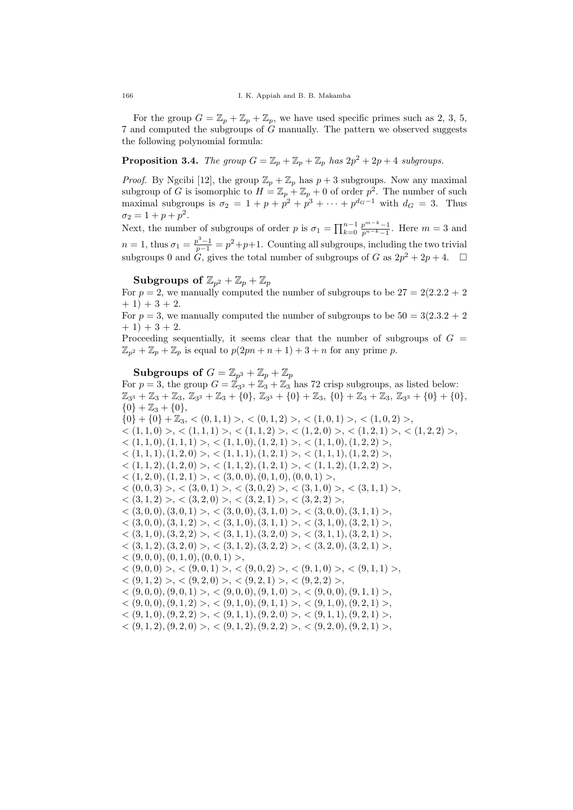For the group  $G = \mathbb{Z}_p + \mathbb{Z}_p + \mathbb{Z}_p$ , we have used specific primes such as 2, 3, 5, 7 and computed the subgroups of G manually. The pattern we observed suggests the following polynomial formula:

**Proposition 3.4.** The group  $G = \mathbb{Z}_p + \mathbb{Z}_p + \mathbb{Z}_p$  has  $2p^2 + 2p + 4$  subgroups.

*Proof.* By Ngcibi [12], the group  $\mathbb{Z}_p + \mathbb{Z}_p$  has  $p + 3$  subgroups. Now any maximal subgroup of G is isomorphic to  $H = \mathbb{Z}_p + \mathbb{Z}_p + 0$  of order  $p^2$ . The number of such maximal subgroups is  $\sigma_2 = 1 + p + p^2 + p^3 + \cdots + p^{d_G-1}$  with  $d_G = 3$ . Thus  $\sigma_2 = 1 + p + p^2$ .

Next, the number of subgroups of order p is  $\sigma_1 = \prod_{k=0}^{n-1} \frac{p^{m-k}-1}{p^{n-k}-1}$  $\frac{p^{m-n}-1}{p^{n-k}-1}$ . Here  $m=3$  and  $n=1$ , thus  $\sigma_1 = \frac{p^3-1}{p-1} = p^2+p+1$ . Counting all subgroups, including the two trivial subgroups 0 and  $G$ , gives the total number of subgroups of G as  $2p^2 + 2p + 4$ .  $\Box$ 

Subgroups of  $\mathbb{Z}_{p^2} + \mathbb{Z}_p + \mathbb{Z}_p$ 

For  $p = 2$ , we manually computed the number of subgroups to be  $27 = 2(2.2.2 + 2)$  $+ 1$ ) + 3 + 2.

For  $p = 3$ , we manually computed the number of subgroups to be  $50 = 3(2.3.2 + 2)$  $+ 1) + 3 + 2.$ 

Proceeding sequentially, it seems clear that the number of subgroups of  $G =$  $\mathbb{Z}_{p^2} + \mathbb{Z}_p + \mathbb{Z}_p$  is equal to  $p(2pn + n + 1) + 3 + n$  for any prime p.

Subgroups of  $G = \mathbb{Z}_{p^3} + \mathbb{Z}_p + \mathbb{Z}_p$ For  $p = 3$ , the group  $G = \mathbb{Z}_{3^3} + \mathbb{Z}_3 + \mathbb{Z}_3$  has 72 crisp subgroups, as listed below:  $\mathbb{Z}_{3^3} + \mathbb{Z}_3 + \mathbb{Z}_3$ ,  $\mathbb{Z}_{3^3} + \mathbb{Z}_3 + \{0\}$ ,  $\mathbb{Z}_{3^3} + \{0\} + \mathbb{Z}_3$ ,  $\{0\} + \mathbb{Z}_3 + \mathbb{Z}_3$ ,  $\mathbb{Z}_{3^3} + \{0\} + \{0\}$ ,  $\{0\} + \mathbb{Z}_3 + \{0\},\$  $\{0\} + \{0\} + \mathbb{Z}_3, \langle (0,1,1) \rangle, \langle (0,1,2) \rangle, \langle (1,0,1) \rangle, \langle (1,0,2) \rangle,$  $\langle (1,1,0) \rangle, \langle (1,1,1) \rangle, \langle (1,1,2) \rangle, \langle (1,2,0) \rangle, \langle (1,2,1) \rangle, \langle (1,2,2) \rangle,$  $\langle (1,1,0), (1,1,1) \rangle, \langle (1,1,0), (1,2,1) \rangle, \langle (1,1,0), (1,2,2) \rangle,$  $\langle (1,1,1), (1,2,0) \rangle, \langle (1,1,1), (1,2,1) \rangle, \langle (1,1,1), (1,2,2) \rangle,$  $\langle (1,1,2), (1,2,0) \rangle, \langle (1,1,2), (1,2,1) \rangle, \langle (1,1,2), (1,2,2) \rangle,$  $<$  (1, 2, 0), (1, 2, 1) >,  $<$  (3, 0, 0), (0, 1, 0), (0, 0, 1) >,  $\langle (0,0,3) \rangle, \langle (3,0,1) \rangle, \langle (3,0,2) \rangle, \langle (3,1,0) \rangle, \langle (3,1,1) \rangle,$  $\langle (3,1,2) \rangle, \langle (3,2,0) \rangle, \langle (3,2,1) \rangle, \langle (3,2,2) \rangle,$  $\langle (3,0,0), (3,0,1) \rangle, \langle (3,0,0), (3,1,0) \rangle, \langle (3,1,0), (3,1,1) \rangle,$  $\langle (3,0,0), (3,1,2) \rangle, \langle (3,1,0), (3,1,1) \rangle, \langle (3,1,0), (3,2,1) \rangle,$  $\langle (3,1,0), (3,2,2) \rangle, \langle (3,1,1), (3,2,0) \rangle, \langle (3,1,1), (3,2,1) \rangle,$  $\langle (3,1,2), (3,2,0) \rangle, \langle (3,1,2), (3,2,2) \rangle, \langle (3,2,0), (3,2,1) \rangle,$  $<$  (9, 0, 0), (0, 1, 0), (0, 0, 1) >,  $\langle (9,0,0) \rangle, \langle (9,0,1) \rangle, \langle (9,0,1) \rangle, \langle (9,0,2) \rangle, \langle (9,1,0) \rangle, \langle (9,1,1) \rangle,$  $\langle (9,1,2) \rangle, \langle (9,2,0) \rangle, \langle (9,2,1) \rangle, \langle (9,2,2) \rangle,$  $<$  (9, 0, 0), (9, 0, 1) >,  $<$  (9, 0, 0), (9, 1, 0) >,  $<$  (9, 0, 0), (9, 1, 1) >,  $\langle (9,0,0), (9,1,2) \rangle, \langle (9,1,0), (9,1,1) \rangle, \langle (9,1,0), (9,2,1) \rangle,$  $<$  (9, 1, 0), (9, 2, 2) >,  $<$  (9, 1, 1), (9, 2, 0) >,  $<$  (9, 1, 1), (9, 2, 1) >,  $\langle (9,1,2), (9,2,0) \rangle, \langle (9,1,2), (9,2,2) \rangle, \langle (9,2,0), (9,2,1) \rangle,$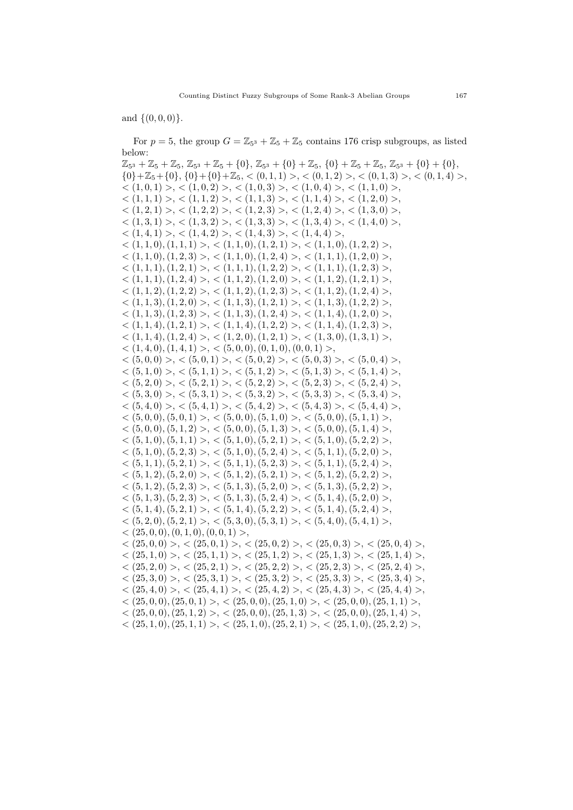and  $\{(0, 0, 0)\}.$ 

For  $p = 5$ , the group  $G = \mathbb{Z}_{5^3} + \mathbb{Z}_5 + \mathbb{Z}_5$  contains 176 crisp subgroups, as listed below:

 $\mathbb{Z}_{5^3} + \mathbb{Z}_5 + \mathbb{Z}_5$ ,  $\mathbb{Z}_{5^3} + \mathbb{Z}_5 + \{0\}$ ,  $\mathbb{Z}_{5^3} + \{0\} + \mathbb{Z}_5$ ,  $\{0\} + \mathbb{Z}_5 + \mathbb{Z}_5$ ,  $\mathbb{Z}_{5^3} + \{0\} + \{0\}$ ,  ${0}+{\mathbb{Z}}_5+{0}, {0}+{0}+{\mathbb{Z}}_5, <(0,1,1)>, (0,1,2)>, (0,1,3)>, (0,1,4)$  $\langle (1,0,1) \rangle, \langle (1,0,2) \rangle, \langle (1,0,3) \rangle, \langle (1,0,4) \rangle, \langle (1,1,0) \rangle,$  $\langle (1,1,1) \rangle, \langle (1,1,2) \rangle, \langle (1,1,3) \rangle, \langle (1,1,4) \rangle, \langle (1,2,0) \rangle,$  $\langle (1,2,1) \rangle, \langle (1,2,2) \rangle, \langle (1,2,3) \rangle, \langle (1,2,4) \rangle, \langle (1,3,0) \rangle,$  $\langle (1,3,1) \rangle, \langle (1,3,2) \rangle, \langle (1,3,3) \rangle, \langle (1,3,4) \rangle, \langle (1,4,0) \rangle,$  $\langle (1,4,1) \rangle, \langle (1,4,2) \rangle, \langle (1,4,3) \rangle, \langle (1,4,4) \rangle,$  $\langle (1,1,0), (1,1,1) \rangle, \langle (1,1,0), (1,2,1) \rangle, \langle (1,1,0), (1,2,2) \rangle,$  $\langle (1,1,0), (1,2,3) \rangle, \langle (1,1,0), (1,2,4) \rangle, \langle (1,1,1), (1,2,0) \rangle,$  $\langle (1,1,1), (1,2,1) \rangle, \langle (1,1,1), (1,2,2) \rangle, \langle (1,1,1), (1,2,3) \rangle,$  $\langle (1,1,1), (1,2,4) \rangle, \langle (1,1,2), (1,2,0) \rangle, \langle (1,1,2), (1,2,1) \rangle,$  $\langle (1,1,2), (1,2,2) \rangle, \langle (1,1,2), (1,2,3) \rangle, \langle (1,1,2), (1,2,4) \rangle,$  $\langle (1,1,3), (1,2,0) \rangle, \langle (1,1,3), (1,2,1) \rangle, \langle (1,1,3), (1,2,2) \rangle,$  $\langle (1,1,3), (1,2,3) \rangle, \langle (1,1,3), (1,2,4) \rangle, \langle (1,1,4), (1,2,0) \rangle,$  $\langle (1,1,4), (1,2,1) \rangle, \langle (1,1,4), (1,2,2) \rangle, \langle (1,1,4), (1,2,3) \rangle,$  $\langle (1,1,4), (1,2,4) \rangle, \langle (1,2,0), (1,2,1) \rangle, \langle (1,3,0), (1,3,1) \rangle,$  $<$  (1, 4, 0), (1, 4, 1) >,  $<$  (5, 0, 0), (0, 1, 0), (0, 0, 1) >,  $\langle (5,0,0) \rangle, \langle (5,0,1) \rangle, \langle (5,0,1) \rangle, \langle (5,0,2) \rangle, \langle (5,0,3) \rangle, \langle (5,0,4) \rangle,$  $\langle (5,1,0) \rangle, \langle (5,1,1) \rangle, \langle (5,1,2) \rangle, \langle (5,1,3) \rangle, \langle (5,1,4) \rangle,$  $\langle (5, 2, 0) \rangle, \langle (5, 2, 1) \rangle, \langle (5, 2, 2) \rangle, \langle (5, 2, 3) \rangle, \langle (5, 2, 4) \rangle,$  $\langle (5,3,0) \rangle, \langle (5,3,1) \rangle, \langle (5,3,2) \rangle, \langle (5,3,3) \rangle, \langle (5,3,4) \rangle,$  $\langle (5,4,0) \rangle, \langle (5,4,1) \rangle, \langle (5,4,2) \rangle, \langle (5,4,3) \rangle, \langle (5,4,4) \rangle,$  $\langle (5,0,0), (5,0,1) \rangle, \langle (5,0,0), (5,1,0) \rangle, \langle (5,1,0) \rangle, \langle (5,0,0), (5,1,1) \rangle,$  $\langle (5,0,0), (5,1,2) \rangle, \langle (5,0,0), (5,1,3) \rangle, \langle (5,0,0), (5,1,4) \rangle,$  $<$   $(5,1,0)$ ,  $(5,1,1)$  >,  $<$   $(5,1,0)$ ,  $(5,2,1)$  >,  $<$   $(5,1,0)$ ,  $(5,2,2)$  >,  $\langle (5,1,0), (5,2,3) \rangle, \langle (5,1,0), (5,2,4) \rangle, \langle (5,1,1), (5,2,0) \rangle,$  $\langle (5,1,1), (5,2,1) \rangle, \langle (5,1,1), (5,2,3) \rangle, \langle (5,1,1), (5,2,4) \rangle,$  $\langle (5,1,2), (5,2,0) \rangle, \langle (5,1,2), (5,2,1) \rangle, \langle (5,1,2), (5,2,2) \rangle,$  $\langle (5,1,2), (5,2,3) \rangle, \langle (5,1,3), (5,2,0) \rangle, \langle (5,1,3), (5,2,2) \rangle,$  $\langle (5,1,3), (5,2,3) \rangle, \langle (5,1,3), (5,2,4) \rangle, \langle (5,1,4), (5,2,0) \rangle,$  $\langle (5,1,4), (5,2,1) \rangle, \langle (5,1,4), (5,2,2) \rangle, \langle (5,1,4), (5,2,4) \rangle,$  $<$  (5, 2, 0), (5, 2, 1) >,  $<$  (5, 3, 0), (5, 3, 1) >,  $<$  (5, 4, 0), (5, 4, 1) >,  $<$  (25, 0, 0), (0, 1, 0), (0, 0, 1) >,  $\langle (25,0,0) \rangle, \langle (25,0,1) \rangle, \langle (25,0,2) \rangle, \langle (25,0,3) \rangle, \langle (25,0,4) \rangle,$  $\langle (25,1,0) \rangle, \langle (25,1,1) \rangle, \langle (25,1,2) \rangle, \langle (25,1,3) \rangle, \langle (25,1,4) \rangle,$  $\langle (25, 2, 0) \rangle, \langle (25, 2, 1) \rangle, \langle (25, 2, 2) \rangle, \langle (25, 2, 3) \rangle, \langle (25, 2, 4) \rangle,$  $\langle (25,3,0) \rangle, \langle (25,3,1) \rangle, \langle (25,3,2) \rangle, \langle (25,3,3) \rangle, \langle (25,3,4) \rangle,$  $\langle (25, 4, 0) \rangle$ ,  $\langle (25, 4, 1) \rangle$ ,  $\langle (25, 4, 2) \rangle$ ,  $\langle (25, 4, 3) \rangle$ ,  $\langle (25, 4, 4) \rangle$ ,  $\langle (25,0,0), (25,0,1) \rangle, \langle (25,0,0), (25,1,0) \rangle, \langle (25,1,0), (25,1,1) \rangle,$  $\langle (25,0,0), (25,1,2) \rangle, \langle (25,0,0), (25,1,3) \rangle, \langle (25,0,0), (25,1,4) \rangle,$  $\langle (25,1,0), (25,1,1) \rangle, \langle (25,1,0), (25,2,1) \rangle, \langle (25,1,0), (25,2,2) \rangle,$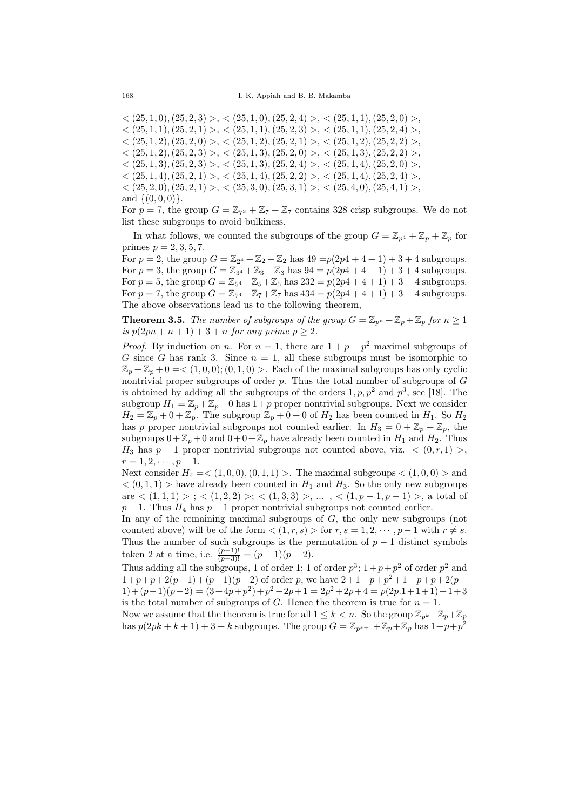$\langle (25, 1, 0), (25, 2, 3) \rangle, \langle (25, 1, 0), (25, 2, 4) \rangle, \langle (25, 1, 1), (25, 2, 0) \rangle,$  $\langle (25,1,1), (25,2,1) \rangle, \langle (25,1,1), (25,2,3) \rangle, \langle (25,1,1), (25,2,4) \rangle,$  $\langle (25, 1, 2), (25, 2, 0) \rangle, \langle (25, 1, 2), (25, 2, 1) \rangle, \langle (25, 1, 2), (25, 2, 2) \rangle,$  $\langle (25, 1, 2), (25, 2, 3) \rangle, \langle (25, 1, 3), (25, 2, 0) \rangle, \langle (25, 1, 3), (25, 2, 2) \rangle,$  $\langle (25, 1, 3), (25, 2, 3) \rangle$ ,  $\langle (25, 1, 3), (25, 2, 4) \rangle$ ,  $\langle (25, 1, 4), (25, 2, 0) \rangle$ .  $\langle (25, 1, 4), (25, 2, 1) \rangle, \langle (25, 1, 4), (25, 2, 2) \rangle, \langle (25, 1, 4), (25, 2, 4) \rangle,$  $\langle (25, 2, 0), (25, 2, 1) \rangle, \langle (25, 3, 0), (25, 3, 1) \rangle, \langle (25, 4, 0), (25, 4, 1) \rangle,$ and  $\{(0, 0, 0)\}.$ 

For  $p = 7$ , the group  $G = \mathbb{Z}_{73} + \mathbb{Z}_7 + \mathbb{Z}_7$  contains 328 crisp subgroups. We do not list these subgroups to avoid bulkiness.

In what follows, we counted the subgroups of the group  $G = \mathbb{Z}_{p^4} + \mathbb{Z}_p + \mathbb{Z}_p$  for primes  $p = 2, 3, 5, 7$ .

For  $p = 2$ , the group  $G = \mathbb{Z}_{2^4} + \mathbb{Z}_2 + \mathbb{Z}_2$  has  $49 = p(2p4 + 4 + 1) + 3 + 4$  subgroups. For  $p = 3$ , the group  $G = \mathbb{Z}_{3^4} + \mathbb{Z}_3 + \mathbb{Z}_3$  has  $94 = p(2p4 + 4 + 1) + 3 + 4$  subgroups. For  $p = 5$ , the group  $G = \mathbb{Z}_{54} + \mathbb{Z}_5 + \mathbb{Z}_5$  has  $232 = p(2p4 + 4 + 1) + 3 + 4$  subgroups. For  $p = 7$ , the group  $G = \mathbb{Z}_{7^4} + \mathbb{Z}_7 + \mathbb{Z}_7$  has  $434 = p(2p4 + 4 + 1) + 3 + 4$  subgroups. The above observations lead us to the following theorem,

**Theorem 3.5.** The number of subgroups of the group  $G = \mathbb{Z}_{p^n} + \mathbb{Z}_p + \mathbb{Z}_p$  for  $n \geq 1$ is  $p(2pn + n + 1) + 3 + n$  for any prime  $p \ge 2$ .

*Proof.* By induction on *n*. For  $n = 1$ , there are  $1 + p + p^2$  maximal subgroups of G since G has rank 3. Since  $n = 1$ , all these subgroups must be isomorphic to  $\mathbb{Z}_p + \mathbb{Z}_p + 0 = \langle (1, 0, 0); (0, 1, 0) \rangle$ . Each of the maximal subgroups has only cyclic nontrivial proper subgroups of order  $p$ . Thus the total number of subgroups of  $G$ is obtained by adding all the subgroups of the orders  $1, p, p^2$  and  $p^3$ , see [18]. The subgroup  $H_1 = \mathbb{Z}_p + \mathbb{Z}_p + 0$  has  $1+p$  proper nontrivial subgroups. Next we consider  $H_2 = \mathbb{Z}_p + 0 + \mathbb{Z}_p$ . The subgroup  $\mathbb{Z}_p + 0 + 0$  of  $H_2$  has been counted in  $H_1$ . So  $H_2$ has p proper nontrivial subgroups not counted earlier. In  $H_3 = 0 + \mathbb{Z}_p + \mathbb{Z}_p$ , the subgroups  $0+\mathbb{Z}_p+0$  and  $0+0+\mathbb{Z}_p$  have already been counted in  $H_1$  and  $H_2$ . Thus  $H_3$  has  $p-1$  proper nontrivial subgroups not counted above, viz.  $\langle 0, r, 1 \rangle >$ ,  $r = 1, 2, \cdots, p - 1.$ 

Next consider  $H_4 = \langle (1, 0, 0), (0, 1, 1) \rangle$ . The maximal subgroups  $\langle (1, 0, 0) \rangle$  and  $<$  (0, 1, 1) > have already been counted in  $H_1$  and  $H_3$ . So the only new subgroups are  $\langle (1,1,1) \rangle$ ;  $\langle (1,2,2) \rangle$ ;  $\langle (1,3,3) \rangle$ , ...,  $\langle (1,p-1,p-1) \rangle$ , a total of  $p-1$ . Thus  $H_4$  has  $p-1$  proper nontrivial subgroups not counted earlier.

In any of the remaining maximal subgroups of  $G$ , the only new subgroups (not counted above) will be of the form  $\langle (1, r, s) \rangle$  for  $r, s = 1, 2, \dots, p-1$  with  $r \neq s$ . Thus the number of such subgroups is the permutation of  $p-1$  distinct symbols taken 2 at a time, i.e.  $\frac{(p-1)!}{(p-3)!} = (p-1)(p-2)$ .

Thus adding all the subgroups, 1 of order 1; 1 of order  $p^3$ ;  $1+p+p^2$  of order  $p^2$  and  $1+p+p+2(p-1)+(p-1)(p-2)$  of order p, we have  $2+1+p+p^2+1+p+p+2(p-1)$  $1)+(p-1)(p-2)=(3+4p+p^2)+p^2-2p+1=2p^2+2p+4=p(2p.1+1+1)+1+3$ is the total number of subgroups of G. Hence the theorem is true for  $n = 1$ .

Now we assume that the theorem is true for all  $1 \leq k < n$ . So the group  $\mathbb{Z}_{p^k} + \mathbb{Z}_p + \mathbb{Z}_p$ has  $p(2pk + k + 1) + 3 + k$  subgroups. The group  $G = \mathbb{Z}_{p^{k+1}} + \mathbb{Z}_p + \mathbb{Z}_p$  has  $1 + p + p^2$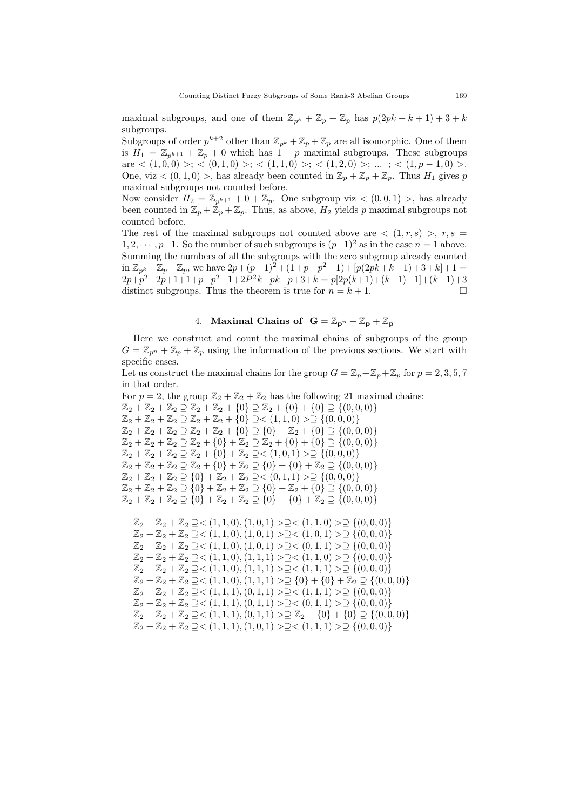maximal subgroups, and one of them  $\mathbb{Z}_{p^k} + \mathbb{Z}_p + \mathbb{Z}_p$  has  $p(2pk + k + 1) + 3 + k$ subgroups.

Subgroups of order  $p^{k+2}$  other than  $\mathbb{Z}_{p^k} + \mathbb{Z}_p + \mathbb{Z}_p$  are all isomorphic. One of them is  $H_1 = \mathbb{Z}_{p^{k+1}} + \mathbb{Z}_p + 0$  which has  $1 + p$  maximal subgroups. These subgroups are  $\langle (1,0,0) \rangle$ ;  $\langle (0,1,0) \rangle$ ;  $\langle (1,1,0) \rangle$ ;  $\langle (1,2,0) \rangle$ ; ...;  $\langle (1,p-1,0) \rangle$ . One, viz  $\lt (0, 1, 0)$ , has already been counted in  $\mathbb{Z}_p + \mathbb{Z}_p + \mathbb{Z}_p$ . Thus  $H_1$  gives p maximal subgroups not counted before.

Now consider  $H_2 = \mathbb{Z}_{p^{k+1}} + 0 + \mathbb{Z}_p$ . One subgroup viz  $\lt (0,0,1)$  >, has already been counted in  $\mathbb{Z}_p + \mathbb{Z}_p + \mathbb{Z}_p$ . Thus, as above,  $H_2$  yields p maximal subgroups not counted before.

The rest of the maximal subgroups not counted above are  $\langle (1, r, s) \rangle$ ,  $r, s =$  $1, 2, \dots, p-1$ . So the number of such subgroups is  $(p-1)^2$  as in the case  $n = 1$  above. Summing the numbers of all the subgroups with the zero subgroup already counted in  $\mathbb{Z}_{p^k} + \mathbb{Z}_p + \mathbb{Z}_p$ , we have  $2p + (p-1)^2 + (1+p+p^2-1) + [p(2pk+k+1)+3+k]+1 =$  $2p+p^2-2p+1+1+p+p^2-1+2P^2k+pk+p+3+k = p[2p(k+1)+(k+1)+1] + (k+1)+3$ distinct subgroups. Thus the theorem is true for  $n = k + 1$ .

# 4. Maximal Chains of  $G = \mathbb{Z}_{p^n} + \mathbb{Z}_p + \mathbb{Z}_p$

Here we construct and count the maximal chains of subgroups of the group  $G = \mathbb{Z}_{p^n} + \mathbb{Z}_p + \mathbb{Z}_p$  using the information of the previous sections. We start with specific cases.

Let us construct the maximal chains for the group  $G = \mathbb{Z}_p + \mathbb{Z}_p + \mathbb{Z}_p$  for  $p = 2, 3, 5, 7$ in that order.

For  $p = 2$ , the group  $\mathbb{Z}_2 + \mathbb{Z}_2 + \mathbb{Z}_2$  has the following 21 maximal chains:  $\mathbb{Z}_2 + \mathbb{Z}_2 + \mathbb{Z}_2 \supset \mathbb{Z}_2 + \mathbb{Z}_2 + \{0\} \supset \mathbb{Z}_2 + \{0\} + \{0\} \supset \{(0,0,0)\}$  $\mathbb{Z}_2 + \mathbb{Z}_2 + \mathbb{Z}_2 \supseteq \mathbb{Z}_2 + \mathbb{Z}_2 + \{0\} \supseteq \leq (1, 1, 0) > \supseteq \{(0, 0, 0)\}$  $\mathbb{Z}_2 + \mathbb{Z}_2 + \mathbb{Z}_2 \supseteq \mathbb{Z}_2 + \mathbb{Z}_2 + \{0\} \supseteq \{0\} + \mathbb{Z}_2 + \{0\} \supseteq \{(0,0,0)\}$  $\mathbb{Z}_2 + \mathbb{Z}_2 + \mathbb{Z}_2 \supseteq \mathbb{Z}_2 + \{0\} + \mathbb{Z}_2 \supseteq \mathbb{Z}_2 + \{0\} + \{0\} \supseteq \{(0,0,0)\}$  $\mathbb{Z}_2 + \mathbb{Z}_2 + \mathbb{Z}_2 \supseteq \mathbb{Z}_2 + \{0\} + \mathbb{Z}_2 \supseteq \leq (1, 0, 1) > \supseteq \{(0, 0, 0)\}$  $\mathbb{Z}_2 + \mathbb{Z}_2 + \mathbb{Z}_2 \supseteq \mathbb{Z}_2 + \{0\} + \mathbb{Z}_2 \supseteq \{0\} + \{0\} + \mathbb{Z}_2 \supseteq \{(0,0,0)\}$  $\mathbb{Z}_2 + \mathbb{Z}_2 + \mathbb{Z}_2 \supseteq \{0\} + \mathbb{Z}_2 + \mathbb{Z}_2 \supseteq \{ (0, 1, 1) > \supseteq \{ (0, 0, 0) \}$  $\mathbb{Z}_2 + \mathbb{Z}_2 + \mathbb{Z}_2 \supseteq \{0\} + \mathbb{Z}_2 + \mathbb{Z}_2 \supseteq \{0\} + \mathbb{Z}_2 + \{0\} \supseteq \{(0,0,0)\}$  $\mathbb{Z}_2 + \mathbb{Z}_2 + \mathbb{Z}_2 \supseteq \{0\} + \mathbb{Z}_2 + \mathbb{Z}_2 \supseteq \{0\} + \{0\} + \mathbb{Z}_2 \supseteq \{(0,0,0)\}$ 

 $\mathbb{Z}_2 + \mathbb{Z}_2 + \mathbb{Z}_2 \supseteq \leq (1, 1, 0), (1, 0, 1) > \supseteq \leq (1, 1, 0) > \supseteq \{(0, 0, 0)\}$  $\mathbb{Z}_2 + \mathbb{Z}_2 + \mathbb{Z}_2 \supseteq \leq (1, 1, 0), (1, 0, 1) > \supseteq \leq (1, 0, 1) > \supseteq \{(0, 0, 0)\}$  $\mathbb{Z}_2 + \mathbb{Z}_2 + \mathbb{Z}_2 \supseteq \leq (1, 1, 0), (1, 0, 1) > \supseteq \leq (0, 1, 1) > \supseteq \{(0, 0, 0)\}$  $\mathbb{Z}_2 + \mathbb{Z}_2 + \mathbb{Z}_2 \supseteq \leq (1, 1, 0), (1, 1, 1) > \supseteq \leq (1, 1, 0) > \supseteq \{(0, 0, 0)\}$  $\mathbb{Z}_2 + \mathbb{Z}_2 + \mathbb{Z}_2 \supseteq \leq (1,1,0), (1,1,1) > \supseteq \leq (1,1,1) > \supseteq \{(0,0,0)\}$  $\mathbb{Z}_2 + \mathbb{Z}_2 + \mathbb{Z}_2 \supseteq \leq (1, 1, 0), (1, 1, 1) > \supseteq \{0\} + \{0\} + \mathbb{Z}_2 \supseteq \{(0, 0, 0)\}$  $\mathbb{Z}_2 + \mathbb{Z}_2 + \mathbb{Z}_2 \supseteq \leq (1,1,1), (0,1,1) > \supseteq \leq (1,1,1) > \supseteq \{(0,0,0)\}$  $\mathbb{Z}_{2} + \mathbb{Z}_{2} + \mathbb{Z}_{2} \supseteq <(1,1,1),(0,1,1)> \supseteq <(0,1,1)>\supseteq \{(0,0,0)\}$  $\mathbb{Z}_2 + \mathbb{Z}_2 + \mathbb{Z}_2 \supseteq \leq (1, 1, 1), (0, 1, 1) > \supseteq \mathbb{Z}_2 + \{0\} + \{0\} \supseteq \{(0, 0, 0)\}$  $\mathbb{Z}_2 + \mathbb{Z}_2 + \mathbb{Z}_2 \supset\subset (1, 1, 1), (1, 0, 1) \supseteq\subset\subset(1, 1, 1) \supseteq\subset\{0, 0, 0\}$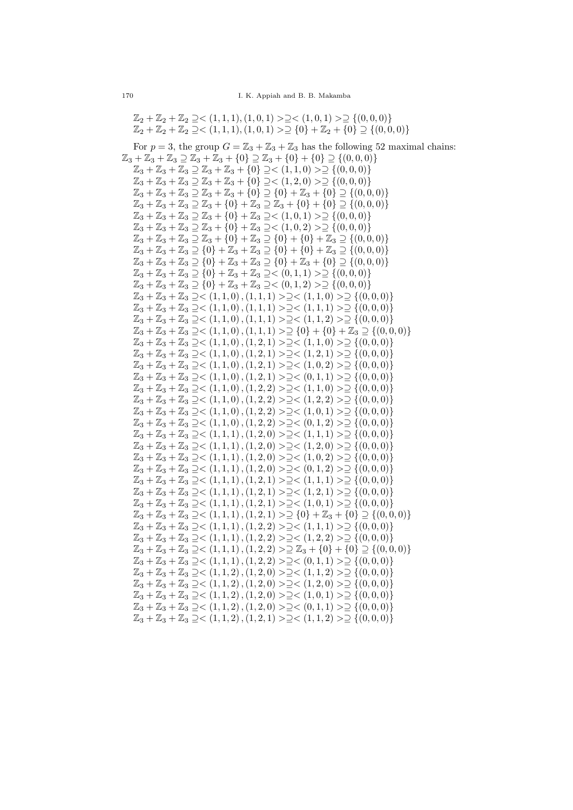$\mathbb{Z}_2 + \mathbb{Z}_2 + \mathbb{Z}_2 \supseteq \leq (1, 1, 1), (1, 0, 1) > \supseteq \leq (1, 0, 1) > \supseteq \{(0, 0, 0)\}$  $\mathbb{Z}_2 + \mathbb{Z}_2 + \mathbb{Z}_2 \supseteq \leq (1, 1, 1), (1, 0, 1) > \supseteq \{0\} + \mathbb{Z}_2 + \{0\} \supseteq \{(0, 0, 0)\}$ 

For  $p = 3$ , the group  $G = \mathbb{Z}_3 + \mathbb{Z}_3 + \mathbb{Z}_3$  has the following 52 maximal chains:  $\mathbb{Z}_3 + \mathbb{Z}_3 + \mathbb{Z}_3 \supseteq \mathbb{Z}_3 + \mathbb{Z}_3 + \{0\} \supseteq \mathbb{Z}_3 + \{0\} + \{0\} \supseteq \{(0,0,0)\}\$  $\mathbb{Z}_3 + \mathbb{Z}_3 + \mathbb{Z}_3 \supset \mathbb{Z}_3 + \mathbb{Z}_3 + \{0\} \supset \langle (1,1,0) \rangle \supset \{ (0,0,0) \}$  $\mathbb{Z}_3 + \mathbb{Z}_3 + \mathbb{Z}_3 \supseteq \mathbb{Z}_3 + \mathbb{Z}_3 + \{0\} \supseteq \{ (1, 2, 0) > \supseteq \{ (0, 0, 0) \}$  $\mathbb{Z}_3 + \mathbb{Z}_3 + \mathbb{Z}_3 \supseteq \mathbb{Z}_3 + \mathbb{Z}_3 + \{0\} \supseteq \{0\} + \mathbb{Z}_3 + \{0\} \supseteq \{(0,0,0)\}$  $\mathbb{Z}_3 + \mathbb{Z}_3 + \mathbb{Z}_3 \supseteq \mathbb{Z}_3 + \{0\} + \mathbb{Z}_3 \supseteq \mathbb{Z}_3 + \{0\} + \{0\} \supseteq \{(0,0,0)\}$  $\mathbb{Z}_3 + \mathbb{Z}_3 + \mathbb{Z}_3 \supseteq \mathbb{Z}_3 + \{0\} + \mathbb{Z}_3 \supseteq \leq (1, 0, 1) > \supseteq \{ (0, 0, 0) \}$  $\mathbb{Z}_3 + \mathbb{Z}_3 + \mathbb{Z}_3 \supseteq \mathbb{Z}_3 + \{0\} + \mathbb{Z}_3 \supseteq \langle (1,0,2) \rangle \supseteq \{ (0,0,0) \}$  $\mathbb{Z}_3 + \mathbb{Z}_3 + \mathbb{Z}_3 \supseteq \mathbb{Z}_3 + \{0\} + \mathbb{Z}_3 \supseteq \{0\} + \{0\} + \mathbb{Z}_3 \supseteq \{(0,0,0)\}$  $\mathbb{Z}_3 + \mathbb{Z}_3 + \mathbb{Z}_3 \supseteq \{0\} + \mathbb{Z}_3 + \mathbb{Z}_3 \supseteq \{0\} + \{0\} + \mathbb{Z}_3 \supseteq \{(0,0,0)\}$  $\mathbb{Z}_3 + \mathbb{Z}_3 + \mathbb{Z}_3 \supseteq \{0\} + \mathbb{Z}_3 + \mathbb{Z}_3 \supseteq \{0\} + \mathbb{Z}_3 + \{0\} \supseteq \{(0,0,0)\}$  $\mathbb{Z}_3 + \mathbb{Z}_3 + \mathbb{Z}_3 \supseteq \{0\} + \mathbb{Z}_3 + \mathbb{Z}_3 \supseteq \{0, 1, 1\} > \supseteq \{(0, 0, 0)\}$  $\mathbb{Z}_3 + \mathbb{Z}_3 + \mathbb{Z}_3 \supseteq \{0\} + \mathbb{Z}_3 + \mathbb{Z}_3 \supseteq \{0, 1, 2\} > \supseteq \{(0, 0, 0)\}$  $\mathbb{Z}_3 + \mathbb{Z}_3 + \mathbb{Z}_3 \supseteq <(1,1,0)$ ,  $(1,1,1)$  >  $\supseteq<(1,1,0)$  >  $\supseteq$  { $(0,0,0)$ }  $\mathbb{Z}_{3}+\mathbb{Z}_{3}+\mathbb{Z}_{3} \supseteq <\left(1,1,0\right), \left(1,1,1\right) > \supseteq <\left(1,1,1\right) > \supseteq \left\{\left(0,0,0\right)\right\}$  $\mathbb{Z}_3 + \mathbb{Z}_3 + \mathbb{Z}_3 \supseteq \lt(1,1,0), (1,1,1) \supseteq \lt(1,1,2) \supseteq \{(0,0,0)\}$  $\mathbb{Z}_3 + \mathbb{Z}_3 + \mathbb{Z}_3 \supseteq \leq (1,1,0), (1,1,1) \supseteqeq \{0\} + \{0\} + \mathbb{Z}_3 \supseteq \{(0,0,0)\}$  $\mathbb{Z}_3 + \mathbb{Z}_3 + \mathbb{Z}_3 \supseteq \leq (1,1,0), (1,2,1) \supseteq \supseteq \{ (1,1,0) \supseteq \supseteq \{ (0,0,0) \}$  $\mathbb{Z}_3 + \mathbb{Z}_3 + \mathbb{Z}_3 \supseteq \leq (1, 1, 0), (1, 2, 1) > \supseteq \leq (1, 2, 1) > \supseteq \{(0, 0, 0)\}$  $\mathbb{Z}_3 + \mathbb{Z}_3 + \mathbb{Z}_3 \supseteq \leq (1,1,0), (1,2,1) \supseteq \supseteq \leq (1,0,2) \supseteq \{ (0,0,0) \}$  $\mathbb{Z}_3 + \mathbb{Z}_3 + \mathbb{Z}_3 \supseteq \leq (1, 1, 0), (1, 2, 1) > \supseteq \{ (0, 1, 1) > \supseteq \{ (0, 0, 0) \}$  $\mathbb{Z}_3 + \mathbb{Z}_3 + \mathbb{Z}_3 \supseteq \leq (1, 1, 0), (1, 2, 2) > \supseteq \leq (1, 1, 0) > \supseteq \{(0, 0, 0)\}$  $\mathbb{Z}_3 + \mathbb{Z}_3 + \mathbb{Z}_3 \supseteq \lt(1,1,0), (1,2,2) \supseteq \lt(1,2,2) \supseteq \{(0,0,0)\}$  $\mathbb{Z}_3 + \mathbb{Z}_3 + \mathbb{Z}_3 \supseteq \leq (1,1,0), (1,2,2) \supseteqeq \leq (1,0,1) \supseteq \{ (0,0,0) \}$  $\mathbb{Z}_3 + \mathbb{Z}_3 + \mathbb{Z}_3 \supseteq \leq (1,1,0), (1,2,2) \supseteqeq \leq (0,1,2) \supseteqeq \{(0,0,0)\}$  $\mathbb{Z}_3 + \mathbb{Z}_3 + \mathbb{Z}_3 \supseteq \lt(1,1,1), (1,2,0) \supseteq \lt(1,1,1) \supseteq \supseteq \{(0,0,0)\}$  $\mathbb{Z}_3 + \mathbb{Z}_3 + \mathbb{Z}_3 \supseteq \leq (1,1,1), (1,2,0) > \supseteq \leq (1,2,0) > \supseteq \{(0,0,0)\}$  $\mathbb{Z}_3 + \mathbb{Z}_3 + \mathbb{Z}_3 \supseteq \lt(1,1,1), (1,2,0) \supseteq \lt(1,0,2) \supseteq \{(0,0,0)\}\$  $\mathbb{Z}_3 + \mathbb{Z}_3 + \mathbb{Z}_3 \supseteq \leq (1,1,1), (1,2,0) \supseteq \supseteq \{ (0,1,2) \supseteq \supseteq \{ (0,0,0) \}$  $\mathbb{Z}_3 + \mathbb{Z}_3 + \mathbb{Z}_3 \supseteq \lt(1,1,1), (1,2,1) > \supseteq \lt(1,1,1) > \supseteq \{(0,0,0)\}$  $\mathbb{Z}_3 + \mathbb{Z}_3 + \mathbb{Z}_3 \supseteq \leq (1,1,1), (1,2,1) > \supseteq \leq (1,2,1) > \supseteq \{(0,0,0)\}$  $\mathbb{Z}_3 + \mathbb{Z}_3 + \mathbb{Z}_3 \supseteq \leq (1,1,1), (1,2,1) > \supseteq \leq (1,0,1) > \supseteq \{(0,0,0)\}$  $\mathbb{Z}_3 + \mathbb{Z}_3 + \mathbb{Z}_3 \supseteq \leq (1,1,1), (1,2,1) > \supseteq \{0\} + \mathbb{Z}_3 + \{0\} \supseteq \{(0,0,0)\}$  $\mathbb{Z}_3 + \mathbb{Z}_3 + \mathbb{Z}_3 \supseteq \lt(1,1,1), (1,2,2) \supseteqlt(1,1,1) \supseteq \supseteq \{(0,0,0)\}$  $\mathbb{Z}_3 + \mathbb{Z}_3 + \mathbb{Z}_3 \supseteq \lt(1,1,1), (1,2,2) \supseteq \lt(1,2,2) \supseteq \{(0,0,0)\}$  $\mathbb{Z}_3 + \mathbb{Z}_3 + \mathbb{Z}_3 \supseteq \lt(1,1,1), (1,2,2) \supseteq \mathbb{Z}_3 + \{0\} + \{0\} \supseteq \{(0,0,0)\}$  $\mathbb{Z}_3 + \mathbb{Z}_3 + \mathbb{Z}_3 \supseteq \lt(1,1,1), (1,2,2) \supseteq \lt(0,1,1) \supseteq \supseteq \{(0,0,0)\}$  $\mathbb{Z}_3 + \mathbb{Z}_3 + \mathbb{Z}_3 \supseteq \lt(1,1,2), (1,2,0) > \supseteq \lt(1,1,2) > \supseteq \{(0,0,0)\}$  $\mathbb{Z}_3 + \mathbb{Z}_3 + \mathbb{Z}_3 \supseteq \leq (1, 1, 2), (1, 2, 0) > \supseteq \leq (1, 2, 0) > \supseteq \{(0, 0, 0)\}$  $\mathbb{Z}_3 + \mathbb{Z}_3 + \mathbb{Z}_3 \supseteq \leq (1, 1, 2), (1, 2, 0) > \supseteq \leq (1, 0, 1) > \supseteq \{(0, 0, 0)\}$  $\mathbb{Z}_3 + \mathbb{Z}_3 + \mathbb{Z}_3 \supseteq \leq (1, 1, 2), (1, 2, 0) \supseteqeq \leq (0, 1, 1) \supseteqeq \{ (0, 0, 0) \}$  $\mathbb{Z}_3 + \mathbb{Z}_3 + \mathbb{Z}_3 \supset < (1, 1, 2), (1, 2, 1) \supset \supset < (1, 1, 2) \supset \supset \{(0, 0, 0)\}\$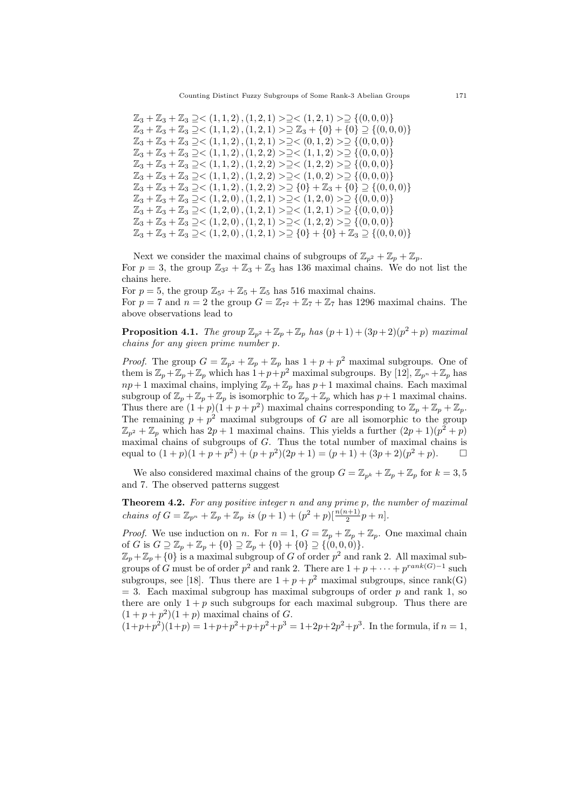$\mathbb{Z}_3 + \mathbb{Z}_3 + \mathbb{Z}_3 \supseteq \leq (1,1,2), (1,2,1) > \supseteq \leq (1,2,1) > \supseteq \{(0,0,0)\}$  $\mathbb{Z}_3 + \mathbb{Z}_3 + \mathbb{Z}_3 \supseteq \leq (1, 1, 2), (1, 2, 1) > \supseteq \mathbb{Z}_3 + \{0\} + \{0\} \supseteq \{(0, 0, 0)\}$  $\mathbb{Z}_3 + \mathbb{Z}_3 + \mathbb{Z}_3 \supseteq \leq (1,1,2), (1,2,1) > \supseteq \leq (0,1,2) > \supseteq \{(0,0,0)\}$  $\mathbb{Z}_3 + \mathbb{Z}_3 + \mathbb{Z}_3 \supseteq \lt(1,1,2), (1,2,2) \supseteqlt(1,1,2) \supseteq \{(0,0,0)\}\$  $\mathbb{Z}_3 + \mathbb{Z}_3 + \mathbb{Z}_3 \supseteq \lt(1,1,2), (1,2,2) \supseteqlt(1,2,2) \supseteq \{(0,0,0)\}\$  $\mathbb{Z}_3 + \mathbb{Z}_3 + \mathbb{Z}_3 \supseteq \leq (1, 1, 2), (1, 2, 2) > \supseteq \leq (1, 0, 2) > \supseteq \{(0, 0, 0)\}$  $\mathbb{Z}_3 + \mathbb{Z}_3 + \mathbb{Z}_3 \supseteq \lt(1,1,2), (1,2,2) \supseteq \{0\} + \mathbb{Z}_3 + \{0\} \supseteq \{(0,0,0)\}$  $\mathbb{Z}_3 + \mathbb{Z}_3 + \mathbb{Z}_3 \supseteq \leq (1, 2, 0), (1, 2, 1) > \supseteq \leq (1, 2, 0) > \supseteq \{(0, 0, 0)\}$  $\mathbb{Z}_3 + \mathbb{Z}_3 + \mathbb{Z}_3 \supseteq \leq (1, 2, 0), (1, 2, 1) > \supseteq \leq (1, 2, 1) > \supseteq \{(0, 0, 0)\}$  $\mathbb{Z}_3 + \mathbb{Z}_3 + \mathbb{Z}_3 \supseteq \lt(1, 2, 0), (1, 2, 1) \supseteq \lt(1, 2, 2) \supseteq \{(0, 0, 0)\}$  $\mathbb{Z}_3 + \mathbb{Z}_3 + \mathbb{Z}_3 \supseteq \leq (1, 2, 0), (1, 2, 1) > \supseteq \{0\} + \{0\} + \mathbb{Z}_3 \supseteq \{(0, 0, 0)\}$ 

Next we consider the maximal chains of subgroups of  $\mathbb{Z}_{p^2} + \mathbb{Z}_p + \mathbb{Z}_p$ . For  $p = 3$ , the group  $\mathbb{Z}_{3^2} + \mathbb{Z}_3 + \mathbb{Z}_3$  has 136 maximal chains. We do not list the chains here.

For  $p = 5$ , the group  $\mathbb{Z}_{5^2} + \mathbb{Z}_5 + \mathbb{Z}_5$  has 516 maximal chains. For  $p = 7$  and  $n = 2$  the group  $G = \mathbb{Z}_{72} + \mathbb{Z}_7 + \mathbb{Z}_7$  has 1296 maximal chains. The above observations lead to

**Proposition 4.1.** The group  $\mathbb{Z}_{p^2} + \mathbb{Z}_p + \mathbb{Z}_p$  has  $(p+1) + (3p+2)(p^2+p)$  maximal chains for any given prime number p.

*Proof.* The group  $G = \mathbb{Z}_{p^2} + \mathbb{Z}_p + \mathbb{Z}_p$  has  $1 + p + p^2$  maximal subgroups. One of them is  $\mathbb{Z}_p + \mathbb{Z}_p + \mathbb{Z}_p$  which has  $1+p+p^2$  maximal subgroups. By [12],  $\mathbb{Z}_{p^n} + \mathbb{Z}_p$  has  $np+1$  maximal chains, implying  $\mathbb{Z}_p+\mathbb{Z}_p$  has  $p+1$  maximal chains. Each maximal subgroup of  $\mathbb{Z}_p + \mathbb{Z}_p + \mathbb{Z}_p$  is isomorphic to  $\mathbb{Z}_p + \mathbb{Z}_p$  which has  $p+1$  maximal chains. Thus there are  $(1+p)(1+p+p^2)$  maximal chains corresponding to  $\mathbb{Z}_p + \mathbb{Z}_p + \mathbb{Z}_p$ . The remaining  $p + p^2$  maximal subgroups of G are all isomorphic to the group  $\mathbb{Z}_{p^2} + \mathbb{Z}_p$  which has  $2p + 1$  maximal chains. This yields a further  $(2p + 1)(p^2 + p)$ maximal chains of subgroups of G. Thus the total number of maximal chains is equal to  $(1+p)(1+p+p^2) + (p+p^2)(2p+1) = (p+1) + (3p+2)(p^2+p)$ .  $\Box$ 

We also considered maximal chains of the group  $G = \mathbb{Z}_{p^k} + \mathbb{Z}_p + \mathbb{Z}_p$  for  $k = 3, 5$ and 7. The observed patterns suggest

**Theorem 4.2.** For any positive integer n and any prime p, the number of maximal chains of  $G = \mathbb{Z}_{p^n} + \mathbb{Z}_p + \mathbb{Z}_p$  is  $(p+1) + (p^2 + p)[\frac{n(n+1)}{2}p + n].$ 

*Proof.* We use induction on n. For  $n = 1$ ,  $G = \mathbb{Z}_p + \mathbb{Z}_p + \mathbb{Z}_p$ . One maximal chain of G is  $G \supseteq \mathbb{Z}_p + \mathbb{Z}_p + \{0\} \supseteq \mathbb{Z}_p + \{0\} + \{0\} \supseteq \{(0,0,0)\}.$ 

 $\mathbb{Z}_p + \mathbb{Z}_p + \{0\}$  is a maximal subgroup of G of order  $p^2$  and rank 2. All maximal subgroups of G must be of order  $p^2$  and rank 2. There are  $1 + p + \cdots + p^{rank(G)-1}$  such subgroups, see [18]. Thus there are  $1 + p + p^2$  maximal subgroups, since rank(G)  $=$  3. Each maximal subgroup has maximal subgroups of order p and rank 1, so there are only  $1 + p$  such subgroups for each maximal subgroup. Thus there are  $(1+p+p^2)(1+p)$  maximal chains of G.

 $(1+p+p^2)(1+p) = 1+p+p^2+p+p^2+p^3 = 1+2p+2p^2+p^3$ . In the formula, if  $n=1$ ,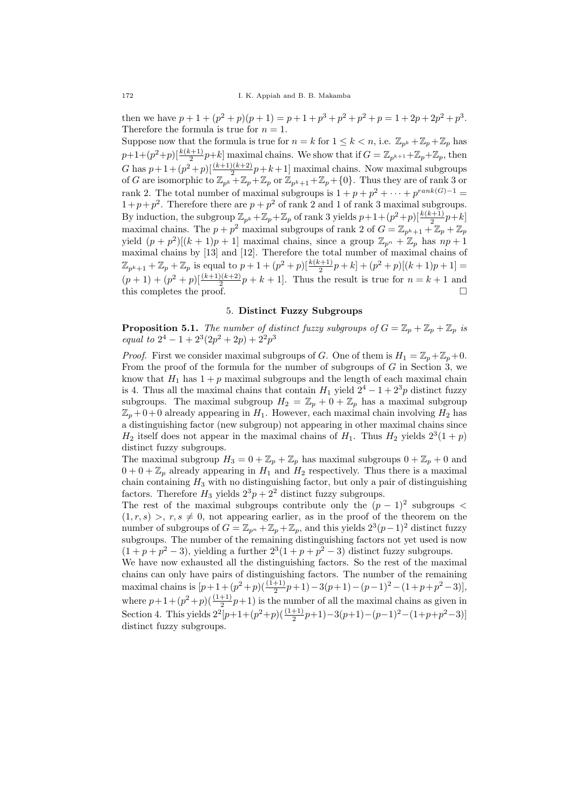then we have  $p + 1 + (p^2 + p)(p + 1) = p + 1 + p^3 + p^2 + p^2 + p = 1 + 2p + 2p^2 + p^3$ . Therefore the formula is true for  $n = 1$ .

Suppose now that the formula is true for  $n = k$  for  $1 \leq k < n$ , i.e.  $\mathbb{Z}_{p^k} + \mathbb{Z}_p + \mathbb{Z}_p$  has  $(p+1+(p^2+p)[\frac{k(k+1)}{2}p+k]$  maximal chains. We show that if  $G=\mathbb{Z}_{p^{k+1}}+\mathbb{Z}_p+\mathbb{Z}_p$ , then G has  $p+1+(p^2+p)\left[\frac{(k+1)(k+2)}{2}p+k+1\right]$  maximal chains. Now maximal subgroups of G are isomorphic to  $\mathbb{Z}_{p^k}+\mathbb{Z}_p+\mathbb{Z}_p$  or  $\mathbb{Z}_{p^k+1}+\mathbb{Z}_p+\{0\}$ . Thus they are of rank 3 or rank 2. The total number of maximal subgroups is  $1 + p + p^2 + \cdots + p^{rank(G)-1} =$  $1+p+p^2$ . Therefore there are  $p+p^2$  of rank 2 and 1 of rank 3 maximal subgroups. By induction, the subgroup  $\mathbb{Z}_{p^k} + \mathbb{Z}_p + \mathbb{Z}_p$  of rank 3 yields  $p+1+(p^2+p)[\frac{k(k+1)}{2}p+k]$ maximal chains. The  $p + p^2$  maximal subgroups of rank 2 of  $G = \mathbb{Z}_{p^k+1} + \mathbb{Z}_p + \mathbb{Z}_p$ yield  $(p+p^2)[(k+1)p+1]$  maximal chains, since a group  $\mathbb{Z}_{p^n}+\mathbb{Z}_p$  has  $np+1$ maximal chains by [13] and [12]. Therefore the total number of maximal chains of  $\mathbb{Z}_{p^k+1} + \mathbb{Z}_p + \mathbb{Z}_p$  is equal to  $p+1+(p^2+p)[\frac{k(k+1)}{2}p+k]+(p^2+p)[(k+1)p+1]=$  $(p+1) + (p^2+p)[\frac{(k+1)(k+2)}{2}p+k+1]$ . Thus the result is true for  $n = k+1$  and this completes the proof.

#### 5. Distinct Fuzzy Subgroups

**Proposition 5.1.** The number of distinct fuzzy subgroups of  $G = \mathbb{Z}_p + \mathbb{Z}_p + \mathbb{Z}_p$  is equal to  $2^4 - 1 + 2^3(2p^2 + 2p) + 2^2p^3$ 

*Proof.* First we consider maximal subgroups of G. One of them is  $H_1 = \mathbb{Z}_p + \mathbb{Z}_n + 0$ . From the proof of the formula for the number of subgroups of  $G$  in Section 3, we know that  $H_1$  has  $1 + p$  maximal subgroups and the length of each maximal chain is 4. Thus all the maximal chains that contain  $H_1$  yield  $2^4 - 1 + 2^3p$  distinct fuzzy subgroups. The maximal subgroup  $H_2 = \mathbb{Z}_p + 0 + \mathbb{Z}_p$  has a maximal subgroup  $\mathbb{Z}_p + 0 + 0$  already appearing in  $H_1$ . However, each maximal chain involving  $H_2$  has a distinguishing factor (new subgroup) not appearing in other maximal chains since  $H_2$  itself does not appear in the maximal chains of  $H_1$ . Thus  $H_2$  yields  $2^3(1+p)$ distinct fuzzy subgroups.

The maximal subgroup  $H_3 = 0 + \mathbb{Z}_p + \mathbb{Z}_p$  has maximal subgroups  $0 + \mathbb{Z}_p + 0$  and  $0 + 0 + \mathbb{Z}_p$  already appearing in  $H_1$  and  $H_2$  respectively. Thus there is a maximal chain containing  $H_3$  with no distinguishing factor, but only a pair of distinguishing factors. Therefore  $H_3$  yields  $2^3p + 2^2$  distinct fuzzy subgroups.

The rest of the maximal subgroups contribute only the  $(p-1)^2$  subgroups <  $(1, r, s) > r, s \neq 0$ , not appearing earlier, as in the proof of the theorem on the number of subgroups of  $G = \mathbb{Z}_{p^n} + \mathbb{Z}_p + \mathbb{Z}_p$ , and this yields  $2^3(p-1)^2$  distinct fuzzy subgroups. The number of the remaining distinguishing factors not yet used is now  $(1+p+p^2-3)$ , yielding a further  $2^3(1+p+p^2-3)$  distinct fuzzy subgroups. We have now exhausted all the distinguishing factors. So the rest of the maximal chains can only have pairs of distinguishing factors. The number of the remaining

maximal chains is  $[p+1+(p^2+p)(\frac{(1+1)}{2}p+1)-3(p+1)-(p-1)^2-(1+p+p^2-3)],$ where  $p+1+(p^2+p)(\frac{(1+1)}{2}p+1)$  is the number of all the maximal chains as given in Section 4. This yields  $2^2[p+1+(p^2+p)(\frac{(1+1)}{2}p+1)-3(p+1)-(p-1)^2-(1+p+p^2-3)]$ distinct fuzzy subgroups.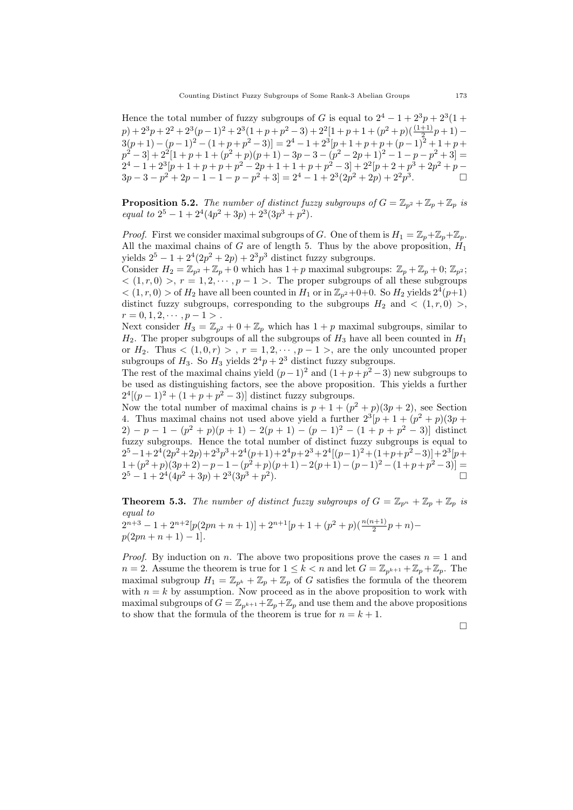Hence the total number of fuzzy subgroups of G is equal to  $2^4 - 1 + 2^3 p + 2^3 (1 +$  $p) + 2^3p + 2^2 + 2^3(p-1)^2 + 2^3(1+p+p^2-3) + 2^2[1+p+1+(p^2+p)(\frac{(1+1)}{2}p+1) 3(p+1)-(p-1)^2-(1+p+p^2-3)]=2^4-1+2^3[p+1+p+p+(p-1)^2+1+p+$  $p^2 - 3 + 2^2[1 + p + 1 + (p^2 + p)(p + 1) - 3p - 3 - (p^2 - 2p + 1)^2 - 1 - p - p^2 + 3] =$  $2^4 - 1 + 2^3[p + 1 + p + p^2 - 2p + 1 + 1 + p + p^2 - 3] + 2^2[p + 2 + p^3 + 2p^2 + p 3p - 3 - p^2 + 2p - 1 - 1 - p - p^2 + 3 = 2^4 - 1 + 2^3(2p^2 + 2p) + 2^2p^3.$ 

**Proposition 5.2.** The number of distinct fuzzy subgroups of  $G = \mathbb{Z}_{p^2} + \mathbb{Z}_p + \mathbb{Z}_p$  is equal to  $2^5 - 1 + 2^4(4p^2 + 3p) + 2^3(3p^3 + p^2)$ .

*Proof.* First we consider maximal subgroups of G. One of them is  $H_1 = \mathbb{Z}_p + \mathbb{Z}_p + \mathbb{Z}_p$ . All the maximal chains of  $G$  are of length 5. Thus by the above proposition,  $H_1$ yields  $2^5 - 1 + 2^4(2p^2 + 2p) + 2^3p^3$  distinct fuzzy subgroups.

Consider  $H_2 = \mathbb{Z}_{p^2} + \mathbb{Z}_p + 0$  which has  $1 + p$  maximal subgroups:  $\mathbb{Z}_p + \mathbb{Z}_p + 0$ ;  $\mathbb{Z}_{p^2}$ ;  $\langle (1, r, 0) \rangle$ ,  $r = 1, 2, \dots, p - 1 \rangle$ . The proper subgroups of all these subgroups  $<$   $(1, r, 0)$  > of  $H_2$  have all been counted in  $H_1$  or in  $\mathbb{Z}_{p^2}$ +0+0. So  $H_2$  yields  $2^4(p+1)$ distinct fuzzy subgroups, corresponding to the subgroups  $H_2$  and  $\langle (1, r, 0) \rangle$ ,  $r = 0, 1, 2, \cdots, p - 1$ 

Next consider  $H_3 = \mathbb{Z}_{p^2} + 0 + \mathbb{Z}_p$  which has  $1 + p$  maximal subgroups, similar to  $H_2$ . The proper subgroups of all the subgroups of  $H_3$  have all been counted in  $H_1$ or  $H_2$ . Thus  $\langle (1,0,r) \rangle$ ,  $r = 1,2,\dots, p-1 \rangle$ , are the only uncounted proper subgroups of  $H_3$ . So  $H_3$  yields  $2^4p + 2^3$  distinct fuzzy subgroups.

The rest of the maximal chains yield  $(p-1)^2$  and  $(1+p+p^2-3)$  new subgroups to be used as distinguishing factors, see the above proposition. This yields a further  $2^{4}[(p-1)^{2} + (1+p+p^{2}-3)]$  distinct fuzzy subgroups.

Now the total number of maximal chains is  $p + 1 + (p^2 + p)(3p + 2)$ , see Section 4. Thus maximal chains not used above yield a further  $2^3[p+1+(p^2+p)(3p+1)]$  $2) - p - 1 - (p^2 + p)(p + 1) - 2(p + 1) - (p - 1)^2 - (1 + p + p^2 - 3)$  distinct fuzzy subgroups. Hence the total number of distinct fuzzy subgroups is equal to  $2^5-1+2^4(2p^2+2p)+2^3p^3+2^4(p+1)+2^4p+2^3+2^4[(p-1)^2+(1+p+p^2-3)]+2^3[p+$  $1 + (p^2+p)(3p+2) - p - 1 - (p^2+p)(p+1) - 2(p+1) - (p-1)^2 - (1+p+p^2-3) =$  $2^5 - 1 + 2^4(4p^2 + 3p) + 2^3(3p^3 + p^2).$ 

**Theorem 5.3.** The number of distinct fuzzy subgroups of  $G = \mathbb{Z}_{p^n} + \mathbb{Z}_p + \mathbb{Z}_p$  is equal to

 $2^{n+3} - 1 + 2^{n+2} [p(2pn + n + 1)] + 2^{n+1} [p + 1 + (p^2 + p)(\frac{n(n+1)}{2}p + n)$  $p(2pn + n + 1) - 1$ .

*Proof.* By induction on n. The above two propositions prove the cases  $n = 1$  and  $n = 2$ . Assume the theorem is true for  $1 \leq k < n$  and let  $G = \mathbb{Z}_{p^{k+1}} + \mathbb{Z}_p + \mathbb{Z}_p$ . The maximal subgroup  $H_1 = \mathbb{Z}_{p^k} + \mathbb{Z}_p + \mathbb{Z}_p$  of G satisfies the formula of the theorem with  $n = k$  by assumption. Now proceed as in the above proposition to work with maximal subgroups of  $G = \mathbb{Z}_{p^{k+1}} + \mathbb{Z}_p + \mathbb{Z}_p$  and use them and the above propositions to show that the formula of the theorem is true for  $n = k + 1$ .

 $\Box$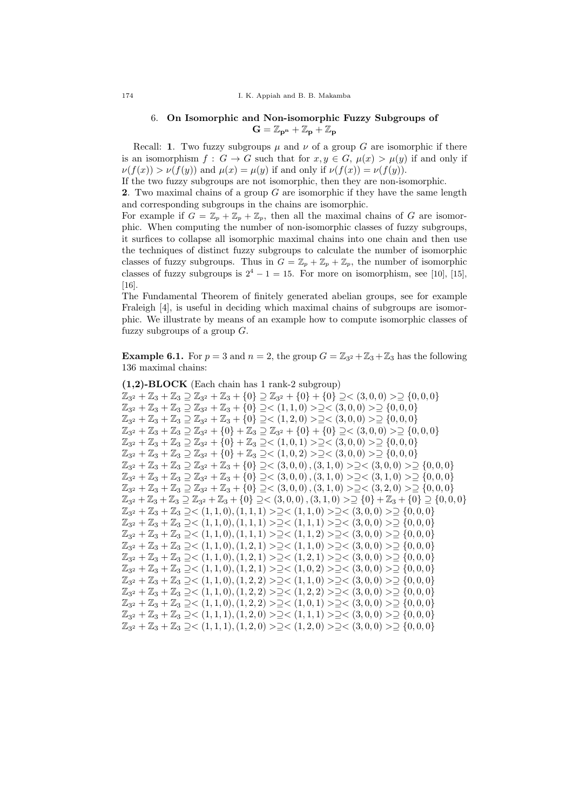# 6. On Isomorphic and Non-isomorphic Fuzzy Subgroups of  $G = \mathbb{Z}_{p^n} + \mathbb{Z}_p + \mathbb{Z}_p$

Recall: 1. Two fuzzy subgroups  $\mu$  and  $\nu$  of a group G are isomorphic if there is an isomorphism  $f: G \to G$  such that for  $x, y \in G$ ,  $\mu(x) > \mu(y)$  if and only if  $\nu(f(x)) > \nu(f(y))$  and  $\mu(x) = \mu(y)$  if and only if  $\nu(f(x)) = \nu(f(y)).$ 

If the two fuzzy subgroups are not isomorphic, then they are non-isomorphic.

2. Two maximal chains of a group G are isomorphic if they have the same length and corresponding subgroups in the chains are isomorphic.

For example if  $G = \mathbb{Z}_p + \mathbb{Z}_p + \mathbb{Z}_p$ , then all the maximal chains of G are isomorphic. When computing the number of non-isomorphic classes of fuzzy subgroups, it surfices to collapse all isomorphic maximal chains into one chain and then use the techniques of distinct fuzzy subgroups to calculate the number of isomorphic classes of fuzzy subgroups. Thus in  $G = \mathbb{Z}_p + \mathbb{Z}_p + \mathbb{Z}_p$ , the number of isomorphic classes of fuzzy subgroups is  $2^4 - 1 = 15$ . For more on isomorphism, see [10], [15], [16].

The Fundamental Theorem of finitely generated abelian groups, see for example Fraleigh [4], is useful in deciding which maximal chains of subgroups are isomorphic. We illustrate by means of an example how to compute isomorphic classes of fuzzy subgroups of a group  $G$ .

**Example 6.1.** For  $p = 3$  and  $n = 2$ , the group  $G = \mathbb{Z}_{3^2} + \mathbb{Z}_3 + \mathbb{Z}_3$  has the following 136 maximal chains:

```
(1,2)-BLOCK (Each chain has 1 rank-2 subgroup)
\mathbb{Z}_{3^2} + \mathbb{Z}_3 + \mathbb{Z}_3 \supseteq \mathbb{Z}_{3^2} + \mathbb{Z}_3 + \{0\} \supseteq \mathbb{Z}_{3^2} + \{0\} + \{0\} \supseteq \leq (3, 0, 0) > \supseteq \{0, 0, 0\}\mathbb{Z}_{3^2} + \mathbb{Z}_3 + \mathbb{Z}_3 \supseteq \mathbb{Z}_{3^2} + \mathbb{Z}_3 + \{0\} \supseteq \leq (1, 1, 0) > \supseteq \leq (3, 0, 0) > \supseteq \{0, 0, 0\}\mathbb{Z}_{3^2} + \mathbb{Z}_3 + \mathbb{Z}_3 \supseteq \mathbb{Z}_{3^2} + \mathbb{Z}_3 + \{0\} \supseteq \leq (1, 2, 0) > \supseteq (3, 0, 0) > \supseteq \{0, 0, 0\}\mathbb{Z}_{3^2} + \mathbb{Z}_3 + \mathbb{Z}_3 \supseteq \mathbb{Z}_{3^2} + \{0\} + \mathbb{Z}_3 \supseteq \mathbb{Z}_{3^2} + \{0\} + \{0\} \supseteq \leq (3, 0, 0) > \supseteq \{0, 0, 0\}\mathbb{Z}_{3^2} + \mathbb{Z}_3 + \mathbb{Z}_3 \supseteq \mathbb{Z}_{3^2} + \{0\} + \mathbb{Z}_3 \supseteq \leq (1,0,1) > \supseteq \leq (3,0,0) > \supseteq \{0,0,0\}\mathbb{Z}_{3^2} + \mathbb{Z}_3 + \mathbb{Z}_3 \supseteq \mathbb{Z}_{3^2} + \{0\} + \mathbb{Z}_3 \supseteq \leq (1, 0, 2) > \supseteq \{3, 0, 0\} > \supseteq \{0, 0, 0\}\mathbb{Z}_{3^2} + \mathbb{Z}_3 + \mathbb{Z}_3 \supseteq \mathbb{Z}_{3^2} + \mathbb{Z}_3 + \{0\} \supseteq \leq (3, 0, 0), (3, 1, 0) > \supseteq \leq (3, 0, 0) > \supseteq \{0, 0, 0\}\mathbb{Z}_{3^2} + \mathbb{Z}_3 + \mathbb{Z}_3 \supseteq \mathbb{Z}_{3^2} + \mathbb{Z}_3 + \{0\} \supseteq \lt(3, 0, 0), (3, 1, 0) > \supseteq \lt(3, 1, 0) > \supseteq \{0, 0, 0\}\mathbb{Z}_{3^2} + \mathbb{Z}_3 + \mathbb{Z}_3 \supseteq \mathbb{Z}_{3^2} + \mathbb{Z}_3 + \{0\} \supseteq \lt(3, 0, 0), (3, 1, 0) > \supseteq \lt(3, 2, 0) > \supseteq \{0, 0, 0\}\mathbb{Z}_{3^2} + \mathbb{Z}_3 + \mathbb{Z}_3 \supseteq \mathbb{Z}_{3^2} + \mathbb{Z}_3 + \{0\} \supseteq \langle (3,0,0), (3,1,0) > \supseteq \{0\} + \mathbb{Z}_3 + \{0\} \supseteq \{0,0,0\}\mathbb{Z}_{3^2} + \mathbb{Z}_3 + \mathbb{Z}_3 \supseteq <(1,1,0),(1,1,1) > \supseteq <(1,1,0) > \supseteq <(3,0,0) > \supseteq \{0,0,0\}\mathbb{Z}_{3^2} + \mathbb{Z}_3 + \mathbb{Z}_3 \supseteq <(1,1,0),(1,1,1)> \supseteq <(1,1,1)> \supseteq <(3,0,0)> \supseteq \{0,0,0\}\mathbb{Z}_{3^2} + \mathbb{Z}_3 + \mathbb{Z}_3 \supseteq <(1,1,0),(1,1,1) > \supseteq <(1,1,2) > \supseteq <(3,0,0) > \supseteq \{0,0,0\}\mathbb{Z}_{3^2} + \mathbb{Z}_3 + \mathbb{Z}_3 \supseteq <(1,1,0),(1,2,1)> \supseteq <(1,1,0)> \supseteq <(3,0,0)> \supseteq \{0,0,0\}\mathbb{Z}_{3^2} + \mathbb{Z}_3 + \mathbb{Z}_3 \supseteq <(1,1,0),(1,2,1)> \supseteq <(1,2,1)> \supseteq<(3,0,0)> \supseteq{0,0,0}\mathbb{Z}_{3^2} + \mathbb{Z}_3 + \mathbb{Z}_3 \supseteq <(1,1,0),(1,2,1)> \supseteq <(1,0,2)> \supseteq<(3,0,0)> \supseteq \{0,0,0\}\mathbb{Z}_{3^2} + \mathbb{Z}_3 + \mathbb{Z}_3 \supseteq <(1,1,0),(1,2,2)> \supseteq <(1,1,0)> \supseteq <(3,0,0)> \supseteq \{0,0,0\}\mathbb{Z}_{3^2} + \mathbb{Z}_3 + \mathbb{Z}_3 \supseteq <(1,1,0),(1,2,2)> \supseteq <(1,2,2)> \supseteq<(3,0,0)> \supseteq \{0,0,0\}\mathbb{Z}_{3^2} + \mathbb{Z}_3 + \mathbb{Z}_3 \supseteq <(1,1,0),(1,2,2)> \supseteq <(1,0,1)> \supseteq <(3,0,0)> \supseteq \{0,0,0\}\mathbb{Z}_{3^2} + \mathbb{Z}_3 + \mathbb{Z}_3 \supseteq <(1,1,1), (1,2,0) > \supseteq <(1,1,1) > \supseteq <(3,0,0) > \supseteq \{0,0,0\}\mathbb{Z}_{3^2} + \mathbb{Z}_3 + \mathbb{Z}_3 \supseteq <(1,1,1), (1,2,0) > \supseteq <(1,2,0) > \supseteq <(3,0,0) > \supseteq \{0,0,0\}
```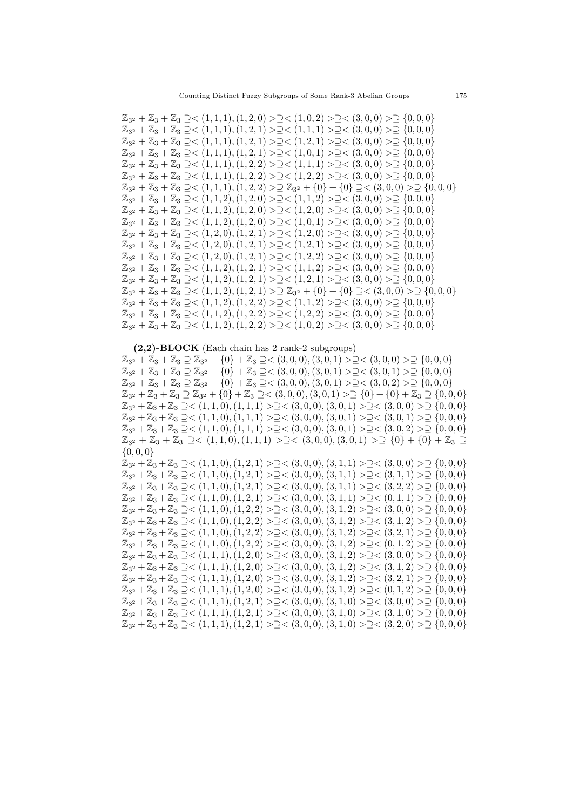$\mathbb{Z}_{3^2} + \mathbb{Z}_3 + \mathbb{Z}_3 \supseteq \leq (1, 1, 1), (1, 2, 0) \supseteq \supseteq \leq (1, 0, 2) \supseteq \supseteq (3, 0, 0) \supseteq \supseteq \{0, 0, 0\}$  $\mathbb{Z}_{3^2} + \mathbb{Z}_3 + \mathbb{Z}_3 \supseteq <(1,1,1), (1,2,1) > \supseteq <(1,1,1) > \supseteq <(3,0,0) > \supseteq \{0,0,0\}$  $\mathbb{Z}_{3^2} + \mathbb{Z}_3 + \mathbb{Z}_3 \supseteq <(1,1,1), (1,2,1) > \supseteq <(1,2,1) > \supseteq <(3,0,0) > \supseteq \{0,0,0\}$  $\mathbb{Z}_{3^2} + \mathbb{Z}_3 + \mathbb{Z}_3 \supseteq <(1,1,1), (1,2,1) > \supseteq <(1,0,1) > \supseteq <(3,0,0) > \supseteq \{0,0,0\}$  $\mathbb{Z}_{3^2} + \mathbb{Z}_3 + \mathbb{Z}_3 \supseteq <(1,1,1), (1,2,2) > \supseteq <(1,1,1) > \supseteq <(3,0,0) > \supseteq \{0,0,0\}$  $\mathbb{Z}_{3^2} + \mathbb{Z}_3 + \mathbb{Z}_3 \supseteq <(1,1,1), (1,2,2)> \supseteq <(1,2,2)> \supseteq<(3,0,0)> \supseteq{0,0,0}$  $\mathbb{Z}_{3^2} + \mathbb{Z}_3 + \mathbb{Z}_3 \supseteq <(1,1,1), (1,2,2) > \supseteq \mathbb{Z}_{3^2} + \{0\} + \{0\} \supseteq <(3,0,0) > \supseteq \{0,0,0\}$  $\mathbb{Z}_{3^2} + \mathbb{Z}_3 + \mathbb{Z}_3 \supseteq <(1,1,2),(1,2,0)> \supseteq <(1,1,2)> \supseteq <(3,0,0)> \supseteq \{0,0,0\}$  $\mathbb{Z}_{3^2} + \mathbb{Z}_3 + \mathbb{Z}_3 \supseteq <(1,1,2),(1,2,0)> \supseteq <(1,2,0)> \supseteq <(3,0,0)> \supseteq \{0,0,0\}$  $\mathbb{Z}_{3^2} + \mathbb{Z}_3 + \mathbb{Z}_3 \supseteq <(1,1,2),(1,2,0)> \supseteq <(1,0,1)> \supseteq <(3,0,0)> \supseteq \{0,0,0\}$  $\mathbb{Z}_{3^2} + \mathbb{Z}_3 + \mathbb{Z}_3 \supseteq <(1, 2, 0), (1, 2, 1) > \supseteq <(1, 2, 0) > \supseteq <(3, 0, 0) > \supseteq \{0, 0, 0\}$  $\mathbb{Z}_{3^2} + \mathbb{Z}_3 + \mathbb{Z}_3 \supseteq <(1, 2, 0), (1, 2, 1) > \supseteq <(1, 2, 1) > \supseteq <(3, 0, 0) > \supseteq \{0, 0, 0\}$  $\mathbb{Z}_{3^2} + \mathbb{Z}_3 + \mathbb{Z}_3 \supseteq <(1, 2, 0), (1, 2, 1) > \supseteq <(1, 2, 2) > \supseteq <(3, 0, 0) > \supseteq \{0, 0, 0\}$  $\mathbb{Z}_{3^2} + \mathbb{Z}_3 + \mathbb{Z}_3 \supseteq <(1,1,2),(1,2,1)> \supseteq <(1,1,2)> \supseteq<(3,0,0)> \supseteq{0,0,0}$  $\mathbb{Z}_{3^2} + \mathbb{Z}_3 + \mathbb{Z}_3 \supseteq <(1,1,2),(1,2,1)> \supseteq <(1,2,1)> \supseteq<(3,0,0)> \supseteq{0,0,0}$  $\mathbb{Z}_{3^2} + \mathbb{Z}_3 + \mathbb{Z}_3 \supseteq <(1, 1, 2), (1, 2, 1) > \supseteq \mathbb{Z}_{3^2} + \{0\} + \{0\} \supseteq <(3, 0, 0) > \supseteq \{0, 0, 0\}$  $\mathbb{Z}_{3^2} + \mathbb{Z}_3 + \mathbb{Z}_3 \supseteq <(1,1,2),(1,2,2)> \supseteq <(1,1,2)> \supseteq <(3,0,0)> \supseteq \{0,0,0\}$  $\mathbb{Z}_{3^2} + \mathbb{Z}_3 + \mathbb{Z}_3 \supseteq <(1,1,2),(1,2,2)> \supseteq <(1,2,2)> \supseteq<(3,0,0)> \supseteq \{0,0,0\}$  $\mathbb{Z}_{3^2} + \mathbb{Z}_3 + \mathbb{Z}_3 \supseteq <(1,1,2),(1,2,2)> \supseteq <(1,0,2)> \supseteq<(3,0,0)> \supseteq \{0,0,0\}$ 

(2,2)-BLOCK (Each chain has 2 rank-2 subgroups)

 $\mathbb{Z}_{3^2} + \mathbb{Z}_3 + \mathbb{Z}_3 \supseteq \mathbb{Z}_{3^2} + \{0\} + \mathbb{Z}_3 \supseteq \leq (3,0,0), (3,0,1) > \supseteq \leq (3,0,0) > \supseteq \{0,0,0\}$  $\mathbb{Z}_{3^2} + \mathbb{Z}_3 + \mathbb{Z}_3 \supseteq \mathbb{Z}_{3^2} + \{0\} + \mathbb{Z}_3 \supseteq \leq (3,0,0), (3,0,1) > \supseteq \leq (3,0,1) > \supseteq \{0,0,0\}$  $\mathbb{Z}_{3^2} + \mathbb{Z}_3 + \mathbb{Z}_3 \supseteq \mathbb{Z}_{3^2} + \{0\} + \mathbb{Z}_3 \supseteq <(3,0,0),(3,0,1) > \supseteq <(3,0,2) > \supseteq \{0,0,0\}$  $\mathbb{Z}_{3^2} + \mathbb{Z}_3 + \mathbb{Z}_3 \supseteq \mathbb{Z}_{3^2} + \{0\} + \mathbb{Z}_3 \supseteq \langle (3,0,0), (3,0,1) > \supseteq \{0\} + \{0\} + \mathbb{Z}_3 \supseteq \{0,0,0\}$  $\mathbb{Z}_{3^2} + \mathbb{Z}_3 + \mathbb{Z}_3 \supseteq \leq (1, 1, 0), (1, 1, 1) > \supseteq \leq (3, 0, 0), (3, 0, 1) > \supseteq \leq (3, 0, 0) > \supseteq \{0, 0, 0\}$  $\mathbb{Z}_{3^2} + \mathbb{Z}_3 + \mathbb{Z}_3 \supseteq <(1,1,0),(1,1,1)> \supseteq <(3,0,0),(3,0,1)> \supseteq <(3,0,1)> \supseteq \{0,0,0\}$  $\mathbb{Z}_{3^2} + \mathbb{Z}_3 + \mathbb{Z}_3 \supseteq <(1,1,0),(1,1,1)> \supseteq <(3,0,0),(3,0,1)> \supseteq <(3,0,2)> \supseteq \{0,0,0\}$  $\mathbb{Z}_{3^2} + \mathbb{Z}_3 + \mathbb{Z}_3 \supseteq (1,1,0), (1,1,1) > \supseteq (3,0,0), (3,0,1) > \supseteq \{0\} + \{0\} + \mathbb{Z}_3 \supseteq$  $\{0, 0, 0\}$ 

 $\mathbb{Z}_{3^2} + \mathbb{Z}_3 + \mathbb{Z}_3 \supseteq <(1,1,0),(1,2,1)> \supseteq <(3,0,0),(3,1,1)> \supseteq <(3,0,0)> \supseteq \{0,0,0\}$  $\mathbb{Z}_{3^2} + \mathbb{Z}_3 + \mathbb{Z}_3 \supseteq <(1, 1, 0), (1, 2, 1) > \supseteq <(3, 0, 0), (3, 1, 1) > \supseteq <(3, 1, 1) > \supseteq \{0, 0, 0\}$  $\mathbb{Z}_{3^2} + \mathbb{Z}_3 + \mathbb{Z}_3 \supseteq <(1,1,0),(1,2,1)> \supseteq <(3,0,0),(3,1,1)> \supseteq <(3,2,2)> \supseteq \{0,0,0\}$  $\mathbb{Z}_{3^2} + \mathbb{Z}_3 + \mathbb{Z}_3 \supseteq <(1,1,0),(1,2,1)> \supseteq <(3,0,0),(3,1,1)> \supseteq <(0,1,1)> \supseteq \{0,0,0\}$  $\mathbb{Z}_{3^2} + \mathbb{Z}_3 + \mathbb{Z}_3 \supseteq <(1,1,0),(1,2,2)> \supseteq <(3,0,0),(3,1,2)> \supseteq<(3,0,0)> \supseteq \{0,0,0\}$  $\mathbb{Z}_{3^2} + \mathbb{Z}_3 + \mathbb{Z}_3 \supseteq <(1,1,0),(1,2,2)> \supseteq <(3,0,0),(3,1,2)> \supseteq<(3,1,2)> \supseteq{0,0,0}$  $\mathbb{Z}_{3^2} + \mathbb{Z}_3 + \mathbb{Z}_3 \supseteq <(1,1,0),(1,2,2)> \supseteq <(3,0,0),(3,1,2)> \supseteq <(3,2,1)> \supseteq \{0,0,0\}$  $\mathbb{Z}_{3^2} + \mathbb{Z}_3 + \mathbb{Z}_3 \supseteq <(1,1,0),(1,2,2)> \supseteq <(3,0,0),(3,1,2)> \supseteq <(0,1,2)> \supseteq \{0,0,0\}$  $\mathbb{Z}_{3^2} + \mathbb{Z}_3 + \mathbb{Z}_3 \supseteq <(1,1,1), (1,2,0) > \supseteq <(3,0,0), (3,1,2) > \supseteq <(3,0,0) > \supseteq \{0,0,0\}$  $\mathbb{Z}_{3^2} + \mathbb{Z}_3 + \mathbb{Z}_3 \supseteq <(1,1,1), (1,2,0) > \supseteq <(3,0,0), (3,1,2) > \supseteq <(3,1,2) > \supseteq \{0,0,0\}$  $\mathbb{Z}_{3^2} + \mathbb{Z}_3 + \mathbb{Z}_3 \supseteq <(1,1,1), (1,2,0) > \supseteq <(3,0,0), (3,1,2) > \supseteq <(3,2,1) > \supseteq \{0,0,0\}$  $\mathbb{Z}_{3^2} + \mathbb{Z}_3 + \mathbb{Z}_3 \supseteq <(1,1,1), (1,2,0) > \supseteq <(3,0,0), (3,1,2) > \supseteq <(0,1,2) > \supseteq \{0,0,0\}$  $\mathbb{Z}_{3^2} + \mathbb{Z}_3 + \mathbb{Z}_3 \supseteq <(1,1,1), (1,2,1) > \supseteq <(3,0,0), (3,1,0) > \supseteq <(3,0,0) > \supseteq \{0,0,0\}$  $\mathbb{Z}_{3^2} + \mathbb{Z}_3 + \mathbb{Z}_3 \supseteq <(1,1,1), (1,2,1) > \supseteq <(3,0,0), (3,1,0) > \supseteq <(3,1,0) > \supseteq \{0,0,0\}$  $\mathbb{Z}_{3^2} + \mathbb{Z}_3 + \mathbb{Z}_3 \supseteq <(1,1,1), (1,2,1) > \supseteq <(3,0,0), (3,1,0) > \supseteq <(3,2,0) > \supseteq \{0,0,0\}$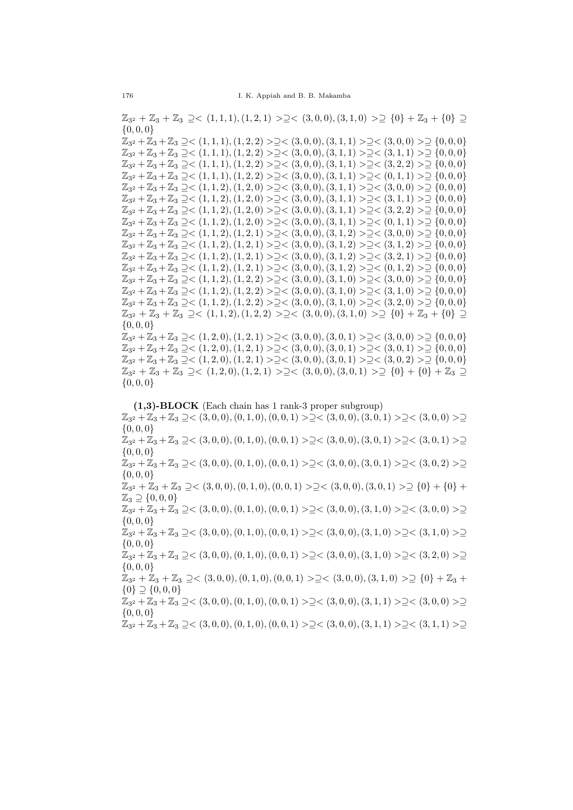$\mathbb{Z}_{3^2} + \mathbb{Z}_3 + \mathbb{Z}_3 \supseteq \leq (1,1,1), (1,2,1) \supseteq \supseteq \leq (3,0,0), (3,1,0) \supseteqeq \{0\} + \mathbb{Z}_3 + \{0\} \supseteq$  $\{0, 0, 0\}$ 

 $\mathbb{Z}_{3^2} + \mathbb{Z}_3 + \mathbb{Z}_3 \supseteq <(1,1,1), (1,2,2)> \supseteq <(3,0,0), (3,1,1)> \supseteq <(3,0,0)>\supseteq \{0,0,0\}$  $\mathbb{Z}_{3^2} + \mathbb{Z}_3 + \mathbb{Z}_3 \supseteq <(1,1,1), (1,2,2) > \supseteq <(3,0,0), (3,1,1) > \supseteq <(3,1,1) > \supseteq \{0,0,0\}$  $\mathbb{Z}_{3^2} + \mathbb{Z}_3 + \mathbb{Z}_3 \supseteq <(1,1,1), (1,2,2)> \supseteq <(3,0,0), (3,1,1)> \supseteq <(3,2,2)> \supseteq \{0,0,0\}$  $\mathbb{Z}_{3^2} + \mathbb{Z}_3 + \mathbb{Z}_3 \supseteq <(1,1,1), (1,2,2) > \supseteq <(3,0,0), (3,1,1) > \supseteq <(0,1,1) > \supseteq \{0,0,0\}$  $\mathbb{Z}_{3^2} + \mathbb{Z}_3 + \mathbb{Z}_3 \supseteq <(1,1,2),(1,2,0)> \supseteq <(3,0,0),(3,1,1)> \supseteq <(3,0,0)> \supseteq \{0,0,0\}$  $\mathbb{Z}_{3^2} + \mathbb{Z}_3 + \mathbb{Z}_3 \supseteq <(1,1,2),(1,2,0)> \supseteq <(3,0,0),(3,1,1)> \supseteq <(3,1,1)> \supseteq \{0,0,0\}$  $\mathbb{Z}_{3^2} + \mathbb{Z}_3 + \mathbb{Z}_3 \supseteq <(1,1,2),(1,2,0)> \supseteq <(3,0,0),(3,1,1)> \supseteq <(3,2,2)> \supseteq \{0,0,0\}$  $\mathbb{Z}_{3^2} + \mathbb{Z}_3 + \mathbb{Z}_3 \supseteq <(1, 1, 2), (1, 2, 0) > \supseteq <(3, 0, 0), (3, 1, 1) > \supseteq <(0, 1, 1) > \supseteq \{0, 0, 0\}$  $\mathbb{Z}_{3^2} + \mathbb{Z}_3 + \mathbb{Z}_3 \supseteq <(1,1,2),(1,2,1)> \supseteq <(3,0,0),(3,1,2)> \supseteq<(3,0,0)> \supseteq \{0,0,0\}$  $\mathbb{Z}_{3^2} + \mathbb{Z}_3 + \mathbb{Z}_3 \supseteq <(1,1,2),(1,2,1)> \supseteq <(3,0,0),(3,1,2)> \supseteq<(3,1,2)> \supseteq{(0,0,0)}$  $\mathbb{Z}_{3^2} + \mathbb{Z}_3 + \mathbb{Z}_3 \supseteq <(1,1,2),(1,2,1)> \supseteq <(3,0,0),(3,1,2)> \supseteq<(3,2,1)> \supseteq{(0,0,0)}$  $\mathbb{Z}_{3^2} + \mathbb{Z}_3 + \mathbb{Z}_3 \supseteq <(1,1,2),(1,2,1)> \supseteq <(3,0,0),(3,1,2)> \supseteq <(0,1,2)> \supseteq \{0,0,0\}$  $\mathbb{Z}_{3^2} + \mathbb{Z}_3 + \mathbb{Z}_3 \supseteq <(1,1,2),(1,2,2)> \supseteq <(3,0,0),(3,1,0)> \supseteq <(3,0,0)> \supseteq \{0,0,0\}$  $\mathbb{Z}_{3^2} + \mathbb{Z}_3 + \mathbb{Z}_3 \supseteq <(1,1,2),(1,2,2)> \supseteq <(3,0,0),(3,1,0)> \supseteq <(3,1,0)> \supseteq \{0,0,0\}$  $\mathbb{Z}_{3^2} + \mathbb{Z}_3 + \mathbb{Z}_3 \supseteq <(1,1,2),(1,2,2)> \supseteq <(3,0,0),(3,1,0)> \supseteq <(3,2,0)> \supseteq \{0,0,0\}$  $\mathbb{Z}_{3^2} + \mathbb{Z}_3 + \mathbb{Z}_3 \supseteq (1,1,2), (1,2,2) \supseteqeq (3,0,0), (3,1,0) \supseteqeq \{0\} + \mathbb{Z}_3 + \{0\} \supseteqeq$ {0, 0, 0}

 $\mathbb{Z}_{3^2} + \mathbb{Z}_3 + \mathbb{Z}_3 \supseteq <(1, 2, 0), (1, 2, 1) > \supseteq <(3, 0, 0), (3, 0, 1) > \supseteq <(3, 0, 0) > \supseteq \{0, 0, 0\}$  $\mathbb{Z}_{3^2} + \mathbb{Z}_3 + \mathbb{Z}_3 \supseteq <(1, 2, 0), (1, 2, 1) > \supseteq <(3, 0, 0), (3, 0, 1) > \supseteq <(3, 0, 1) > \supseteq$  {0, 0, 0}  $\mathbb{Z}_{3^2} + \mathbb{Z}_3 + \mathbb{Z}_3 \supseteq <(1, 2, 0), (1, 2, 1) > \supseteq <(3, 0, 0), (3, 0, 1) > \supseteq <(3, 0, 2) > \supseteq \{0, 0, 0\}$  $\mathbb{Z}_{3^2} + \mathbb{Z}_3 + \mathbb{Z}_3 \supseteq (1, 2, 0), (1, 2, 1) > \supseteq (3, 0, 0), (3, 0, 1) > \supseteq \{0\} + \{0\} + \mathbb{Z}_3 \supseteq$  $\{0, 0, 0\}$ 

(1,3)-BLOCK (Each chain has 1 rank-3 proper subgroup)  $\mathbb{Z}_{3^2} + \mathbb{Z}_3 + \mathbb{Z}_3 \supseteq \leq (3, 0, 0), (0, 1, 0), (0, 0, 1) > \supseteq \leq (3, 0, 0), (3, 0, 1) > \supseteq \leq (3, 0, 0) > \supseteq$  $\{0, 0, 0\}$  $\mathbb{Z}_{3^2} + \mathbb{Z}_3 + \mathbb{Z}_3 \supseteq <(3,0,0), (0,1,0), (0,0,1) > \supseteq <(3,0,0), (3,0,1) > \supseteq <(3,0,1) > \supseteq$  $\{0, 0, 0\}$  $\mathbb{Z}_{3^2} + \mathbb{Z}_3 + \mathbb{Z}_3 \supseteq <(3,0,0), (0,1,0), (0,0,1) > \supseteq <(3,0,0), (3,0,1) > \supseteq <(3,0,2) > \supseteq$ {0, 0, 0}  $\mathbb{Z}_{3^2} + \mathbb{Z}_3 + \mathbb{Z}_3 \supseteq <(3,0,0), (0,1,0), (0,0,1) >\supseteq <(3,0,0), (3,0,1) >\supseteq \{0\} + \{0\} +$  $\mathbb{Z}_3 \supseteq \{0, 0, 0\}$  $\mathbb{Z}_{3^2} + \mathbb{Z}_3 + \mathbb{Z}_3 \supseteq <(3,0,0), (0,1,0), (0,0,1) > \supseteq <(3,0,0), (3,1,0) > \supseteq <(3,0,0) > \supseteq$  $\{0, 0, 0\}$  $\mathbb{Z}_{3^2} + \mathbb{Z}_3 + \mathbb{Z}_3 \supseteq <(3,0,0), (0,1,0), (0,0,1) > \supseteq <(3,0,0), (3,1,0) > \supseteq <(3,1,0) > \supseteq$  $\{0, 0, 0\}$  $\mathbb{Z}_{3^2} + \mathbb{Z}_3 + \mathbb{Z}_3 \supseteq <(3,0,0), (0,1,0), (0,0,1) > \supseteq <(3,0,0), (3,1,0) > \supseteq <(3,2,0) > \supseteq$  $\{0, 0, 0\}$  $\mathbb{Z}_{3^2} + \mathbb{Z}_3 + \mathbb{Z}_3 \supseteq <(3,0,0), (0,1,0), (0,0,1) > \supseteq <(3,0,0), (3,1,0) > \supseteq \{0\} + \mathbb{Z}_3 +$  ${0} \supseteq {0,0,0}$  $\mathbb{Z}_{3^2} + \mathbb{Z}_3 + \mathbb{Z}_3 \supseteq <(3,0,0), (0,1,0), (0,0,1) > \supseteq <(3,0,0), (3,1,1) > \supseteq <(3,0,0) > \supseteq$  $\{0, 0, 0\}$  $\mathbb{Z}_{3^2} + \mathbb{Z}_3 + \mathbb{Z}_3 \supseteq <(3,0,0), (0,1,0), (0,0,1) > \supseteq <(3,0,0), (3,1,1) > \supseteq <(3,1,1) > \supseteq$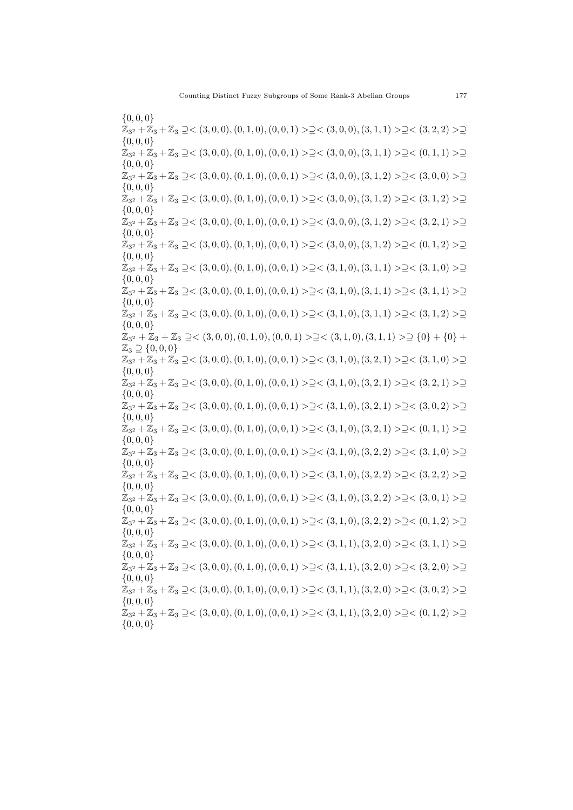$\{0, 0, 0\}$  $\mathbb{Z}_{3^2} + \mathbb{Z}_3 + \mathbb{Z}_3 \supseteq <(3,0,0), (0,1,0), (0,0,1) > \supseteq <(3,0,0), (3,1,1) > \supseteq <(3,2,2) > \supseteq$  ${0, 0, 0}$  $\mathbb{Z}_{3^2} + \mathbb{Z}_3 + \mathbb{Z}_3 \supseteq <(3,0,0), (0,1,0), (0,0,1) > \supseteq <(3,0,0), (3,1,1) > \supseteq <(0,1,1) > \supseteq$  $\{0, 0, 0\}$  $\mathbb{Z}_{3^2} + \mathbb{Z}_3 + \mathbb{Z}_3 \supseteq <(3,0,0), (0,1,0), (0,0,1) > \supseteq <(3,0,0), (3,1,2) > \supseteq <(3,0,0) > \supseteq$  $\{0, 0, 0\}$  $\mathbb{Z}_{3^2} + \mathbb{Z}_3 + \mathbb{Z}_3 \supseteq <(3,0,0), (0,1,0), (0,0,1) > \supseteq <(3,0,0), (3,1,2) > \supseteq <(3,1,2) > \supseteq$  $\{0, 0, 0\}$  $\mathbb{Z}_{3^2} + \mathbb{Z}_3 + \mathbb{Z}_3 \supseteq <(3,0,0), (0,1,0), (0,0,1) > \supseteq <(3,0,0), (3,1,2) > \supseteq <(3,2,1) > \supseteq$  $\{0, 0, 0\}$  $\mathbb{Z}_{3^2} + \mathbb{Z}_3 + \mathbb{Z}_3 \supseteq <(3,0,0), (0,1,0), (0,0,1) > \supseteq <(3,0,0), (3,1,2) > \supseteq <(0,1,2) > \supseteq$  $\{0, 0, 0\}$  $\mathbb{Z}_{3^2} + \mathbb{Z}_3 + \mathbb{Z}_3 \supseteq <(3,0,0), (0,1,0), (0,0,1) > \supseteq <(3,1,0), (3,1,1) > \supseteq <(3,1,0) > \supseteq$  $\{0, 0, 0\}$  $\mathbb{Z}_{3^2} + \mathbb{Z}_3 + \mathbb{Z}_3 \supseteq <(3,0,0), (0,1,0), (0,0,1) > \supseteq <(3,1,0), (3,1,1) > \supseteq <(3,1,1) > \supseteq$ {0, 0, 0}  $\mathbb{Z}_{3^2} + \mathbb{Z}_3 + \mathbb{Z}_3 \supseteq <(3,0,0), (0,1,0), (0,0,1) > \supseteq <(3,1,0), (3,1,1) > \supseteq <(3,1,2) > \supseteq$ {0, 0, 0}  $\mathbb{Z}_{3^2} + \mathbb{Z}_3 + \mathbb{Z}_3 \supseteq \lt(3,0,0), (0,1,0), (0,0,1) > \supseteq \lt(3,1,0), (3,1,1) > \supseteq \{0\} + \{0\} +$  $\mathbb{Z}_3 \supseteq \{0, 0, 0\}$  $\mathbb{Z}_{3^2} + \mathbb{Z}_3 + \mathbb{Z}_3 \supseteq <(3, 0, 0), (0, 1, 0), (0, 0, 1) > \supseteq <(3, 1, 0), (3, 2, 1) > \supseteq <(3, 1, 0) > \supseteq$  $\{0, 0, 0\}$  $\mathbb{Z}_{3^2} + \mathbb{Z}_3 + \mathbb{Z}_3 \supseteq <(3,0,0), (0,1,0), (0,0,1) > \supseteq <(3,1,0), (3,2,1) > \supseteq <(3,2,1) > \supseteq$  $\{0, 0, 0\}$  $\mathbb{Z}_{3^2} + \mathbb{Z}_3 + \mathbb{Z}_3 \supseteq <(3,0,0), (0,1,0), (0,0,1) > \supseteq <(3,1,0), (3,2,1) > \supseteq <(3,0,2) > \supseteq$  $\{0, 0, 0\}$  $\mathbb{Z}_{3^2} + \mathbb{Z}_3 + \mathbb{Z}_3 \supseteq <(3,0,0), (0,1,0), (0,0,1) > \supseteq <(3,1,0), (3,2,1) > \supseteq <(0,1,1) > \supseteq$  $\{0, 0, 0\}$  $\mathbb{Z}_{3^2} + \mathbb{Z}_3 + \mathbb{Z}_3 \supseteq <(3,0,0), (0,1,0), (0,0,1) > \supseteq <(3,1,0), (3,2,2) > \supseteq <(3,1,0) > \supseteq$  $\{0, 0, 0\}$  $\mathbb{Z}_{3^2} + \mathbb{Z}_3 + \mathbb{Z}_3 \supseteq <(3,0,0), (0,1,0), (0,0,1) > \supseteq <(3,1,0), (3,2,2) > \supseteq <(3,2,2) > \supseteq$ {0, 0, 0}  $\mathbb{Z}_{3^2} + \mathbb{Z}_3 + \mathbb{Z}_3 \supseteq <(3,0,0), (0,1,0), (0,0,1) > \supseteq <(3,1,0), (3,2,2) > \supseteq <(3,0,1) > \supseteq$  $\{0, 0, 0\}$  $\mathbb{Z}_{3^2} + \mathbb{Z}_3 + \mathbb{Z}_3 \supseteq <(3,0,0), (0,1,0), (0,0,1) > \supseteq <(3,1,0), (3,2,2) > \supseteq <(0,1,2) > \supseteq$  $\{0, 0, 0\}$  $\mathbb{Z}_{3^2} + \mathbb{Z}_3 + \mathbb{Z}_3 \supseteq <(3,0,0), (0,1,0), (0,0,1) > \supseteq <(3,1,1), (3,2,0) > \supseteq <(3,1,1) > \supseteq$  $\{0, 0, 0\}$  $\mathbb{Z}_{3^2} + \mathbb{Z}_3 + \mathbb{Z}_3 \supseteq <(3,0,0), (0,1,0), (0,0,1) > \supseteq <(3,1,1), (3,2,0) > \supseteq <(3,2,0) > \supseteq$ {0, 0, 0}  $\mathbb{Z}_{3^2} + \mathbb{Z}_3 + \mathbb{Z}_3 \supseteq <(3,0,0), (0,1,0), (0,0,1) > \supseteq <(3,1,1), (3,2,0) > \supseteq <(3,0,2) > \supseteq$  $\{0, 0, 0\}$  $\mathbb{Z}_{3^2} + \mathbb{Z}_3 + \mathbb{Z}_3 \supseteq <(3,0,0), (0,1,0), (0,0,1) > \supseteq <(3,1,1), (3,2,0) > \supseteq <(0,1,2) > \supseteq$  $\{0, 0, 0\}$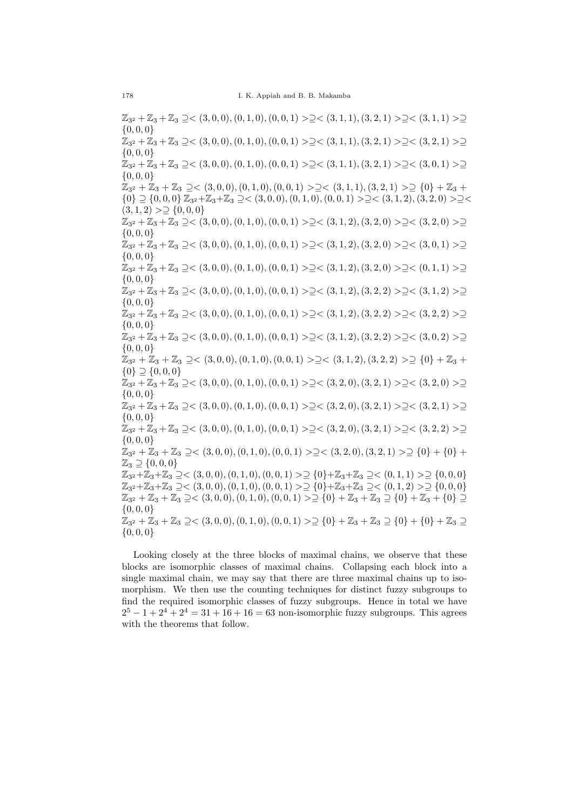$\mathbb{Z}_{3^2} + \mathbb{Z}_3 + \mathbb{Z}_3 \supseteq \leq (3, 0, 0), (0, 1, 0), (0, 0, 1) > \supseteq \leq (3, 1, 1), (3, 2, 1) > \supseteq \leq (3, 1, 1) > \supseteq$  $\{0, 0, 0\}$  $\mathbb{Z}_{3^2} + \mathbb{Z}_3 + \mathbb{Z}_3 \supseteq <(3,0,0), (0,1,0), (0,0,1) > \supseteq <(3,1,1), (3,2,1) > \supseteq <(3,2,1) > \supseteq$  $\{0, 0, 0\}$  $\mathbb{Z}_{3^2} + \mathbb{Z}_3 + \mathbb{Z}_3 \supseteq <(3,0,0), (0,1,0), (0,0,1) > \supseteq <(3,1,1), (3,2,1) > \supseteq <(3,0,1) > \supseteq$  $\{0, 0, 0\}$  $\mathbb{Z}_{3^2} + \mathbb{Z}_3 + \mathbb{Z}_3 \supseteq <(3,0,0), (0,1,0), (0,0,1) > \supseteq <(3,1,1), (3,2,1) > \supseteq \{0\} + \mathbb{Z}_3 +$  $\{0\} \supseteq \{0,0,0\}$   $\mathbb{Z}_{3^2} + \mathbb{Z}_3 + \mathbb{Z}_3 \supseteq \{3,0,0\}, (0,1,0), (0,0,1) > \supseteq \{3,1,2\}, (3,2,0) > \supseteq \{3,1,2\}$  $(3, 1, 2)$  >  $\supseteq$  {0,0,0}  $\mathbb{Z}_{3^2} + \mathbb{Z}_3 + \mathbb{Z}_3 \supseteq \leq (3, 0, 0), (0, 1, 0), (0, 0, 1) > \supseteq \leq (3, 1, 2), (3, 2, 0) > \supseteq \leq (3, 2, 0) > \supseteq$  $\{0, 0, 0\}$  $\mathbb{Z}_{3^2} + \mathbb{Z}_3 + \mathbb{Z}_3 \supseteq <(3,0,0), (0,1,0), (0,0,1) > \supseteq <(3,1,2), (3,2,0) > \supseteq <(3,0,1) > \supseteq$  $\{0, 0, 0\}$  $\mathbb{Z}_{3^2} + \mathbb{Z}_3 + \mathbb{Z}_3 \supseteq <(3,0,0), (0,1,0), (0,0,1) > \supseteq <(3,1,2), (3,2,0) > \supseteq <(0,1,1) > \supseteq$  $\{0, 0, 0\}$  $\mathbb{Z}_{3^2} + \mathbb{Z}_3 + \mathbb{Z}_3 \supseteq <(3,0,0), (0,1,0), (0,0,1) > \supseteq <(3,1,2), (3,2,2) > \supseteq <(3,1,2) > \supseteq$ {0, 0, 0}  $\mathbb{Z}_{3^2} + \mathbb{Z}_3 + \mathbb{Z}_3 \supseteq <(3,0,0), (0,1,0), (0,0,1) > \supseteq <(3,1,2), (3,2,2) > \supseteq <(3,2,2) > \supseteq$ {0, 0, 0}  $\mathbb{Z}_{3^2} + \mathbb{Z}_3 + \mathbb{Z}_3 \supseteq <(3,0,0), (0,1,0), (0,0,1) > \supseteq <(3,1,2), (3,2,2) > \supseteq <(3,0,2) > \supseteq$  $\{0, 0, 0\}$  $\mathbb{Z}_{3^2} + \mathbb{Z}_3 + \mathbb{Z}_3 \supseteq <(3,0,0), (0,1,0), (0,0,1) > \supseteq <(3,1,2), (3,2,2) > \supseteq \{0\} + \mathbb{Z}_3 +$  ${0} \supseteq {0, 0, 0}$  $\mathbb{Z}_{3^2} + \mathbb{Z}_3 + \mathbb{Z}_3 \supseteq <(3,0,0), (0,1,0), (0,0,1) > \supseteq <(3,2,0), (3,2,1) > \supseteq <(3,2,0) > \supseteq$  $\{0, 0, 0\}$  $\mathbb{Z}_{3^2} + \mathbb{Z}_3 + \mathbb{Z}_3 \supseteq <(3,0,0), (0,1,0), (0,0,1) > \supseteq <(3,2,0), (3,2,1) > \supseteq <(3,2,1) > \supseteq$  $\{0, 0, 0\}$  $\mathbb{Z}_{3^2} + \mathbb{Z}_3 + \mathbb{Z}_3 \supseteq <(3,0,0), (0,1,0), (0,0,1) > \supseteq <(3,2,0), (3,2,1) > \supseteq <(3,2,2) > \supseteq$  $\{0, 0, 0\}$  $\mathbb{Z}_{3^2} + \mathbb{Z}_3 + \mathbb{Z}_3 \supseteq \lt(3,0,0), (0,1,0), (0,0,1) > \supseteq \lt(3,2,0), (3,2,1) > \supseteq \{0\} + \{0\} +$  $\mathbb{Z}_3 \supset \{0,0,0\}$  $\mathbb{Z}_{3^2} + \mathbb{Z}_3 + \mathbb{Z}_3 \supseteq \leq (3, 0, 0), (0, 1, 0), (0, 0, 1) > \supseteq \{0\} + \mathbb{Z}_3 + \mathbb{Z}_3 \supseteq \leq (0, 1, 1) > \supseteq \{0, 0, 0\}$  $\mathbb{Z}_{3^2} + \mathbb{Z}_3 + \mathbb{Z}_3 \supseteq \leq (3, 0, 0), (0, 1, 0), (0, 0, 1) > \supseteq \{0\} + \mathbb{Z}_3 + \mathbb{Z}_3 \supseteq \leq (0, 1, 2) > \supseteq \{0, 0, 0\}$  $\mathbb{Z}_{3^2} + \mathbb{Z}_3 + \mathbb{Z}_3 \supseteq \leq (3,0,0), (0,1,0), (0,0,1) > \supseteq \{0\} + \mathbb{Z}_3 + \mathbb{Z}_3 \supseteq \{0\} + \mathbb{Z}_3 + \{0\} \supseteq$  $\{0, 0, 0\}$  $\mathbb{Z}_{3^2} + \mathbb{Z}_3 + \mathbb{Z}_3 \supseteq <(3,0,0), (0,1,0), (0,0,1) > \supseteq \{0\} + \mathbb{Z}_3 + \mathbb{Z}_3 \supseteq \{0\} + \{0\} + \mathbb{Z}_3 \supseteq$  $\{0, 0, 0\}$ 

Looking closely at the three blocks of maximal chains, we observe that these blocks are isomorphic classes of maximal chains. Collapsing each block into a single maximal chain, we may say that there are three maximal chains up to isomorphism. We then use the counting techniques for distinct fuzzy subgroups to find the required isomorphic classes of fuzzy subgroups. Hence in total we have  $2^{5} - 1 + 2^{4} + 2^{4} = 31 + 16 + 16 = 63$  non-isomorphic fuzzy subgroups. This agrees with the theorems that follow.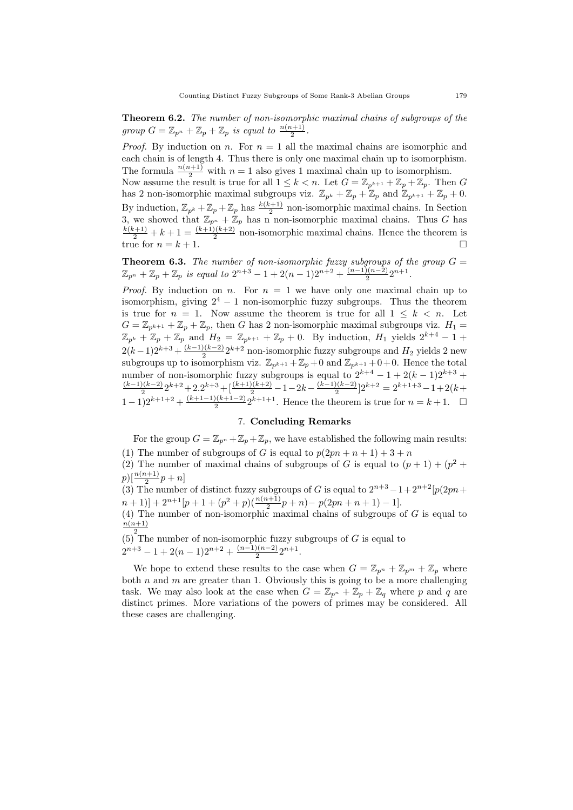Theorem 6.2. The number of non-isomorphic maximal chains of subgroups of the group  $G = \mathbb{Z}_{p^n} + \mathbb{Z}_p + \mathbb{Z}_p$  is equal to  $\frac{n(n+1)}{2}$ .

*Proof.* By induction on n. For  $n = 1$  all the maximal chains are isomorphic and each chain is of length 4. Thus there is only one maximal chain up to isomorphism. The formula  $\frac{n(n+1)}{2}$  with  $n = 1$  also gives 1 maximal chain up to isomorphism. Now assume the result is true for all  $1 \leq k < n$ . Let  $G = \mathbb{Z}_{p^{k+1}} + \mathbb{Z}_p + \mathbb{Z}_p$ . Then G has 2 non-isomorphic maximal subgroups viz.  $\mathbb{Z}_{p^k} + \mathbb{Z}_p + \mathbb{Z}_p$  and  $\mathbb{Z}_{p^{k+1}} + \mathbb{Z}_p + 0$ . By induction,  $\mathbb{Z}_{p^k} + \mathbb{Z}_p + \mathbb{Z}_p$  has  $\frac{k(k+1)}{2}$  non-isomorphic maximal chains. In Section 3, we showed that  $\mathbb{Z}_{p^n} + \mathbb{Z}_p$  has n non-isomorphic maximal chains. Thus G has  $\frac{k(k+1)}{2} + k + 1 = \frac{(k+1)(k+2)}{2}$  non-isomorphic maximal chains. Hence the theorem is

true for  $n = k + 1$ .

**Theorem 6.3.** The number of non-isomorphic fuzzy subgroups of the group  $G =$  $\mathbb{Z}_{p^n} + \mathbb{Z}_p + \mathbb{Z}_p$  is equal to  $2^{n+3} - 1 + 2(n-1)2^{n+2} + \frac{(n-1)(n-2)}{2}$  $\frac{2(n-2)}{2}2^{n+1}$ .

*Proof.* By induction on n. For  $n = 1$  we have only one maximal chain up to isomorphism, giving  $2^4 - 1$  non-isomorphic fuzzy subgroups. Thus the theorem is true for  $n = 1$ . Now assume the theorem is true for all  $1 \leq k \leq n$ . Let  $G = \mathbb{Z}_{p^{k+1}} + \mathbb{Z}_p + \mathbb{Z}_p$ , then G has 2 non-isomorphic maximal subgroups viz.  $H_1 =$  $\mathbb{Z}_{p^k} + \mathbb{Z}_p + \mathbb{Z}_p$  and  $H_2 = \mathbb{Z}_{p^{k+1}} + \mathbb{Z}_p + 0$ . By induction,  $H_1$  yields  $2^{k+4} - 1 +$  $2(k-1)2^{k+3} + \frac{(k-1)(k-2)}{2}$  $\frac{2(k-2)}{2}2^{k+2}$  non-isomorphic fuzzy subgroups and  $H_2$  yields 2 new subgroups up to isomorphism viz.  $\mathbb{Z}_{p^{k+1}} + \mathbb{Z}_p + 0$  and  $\mathbb{Z}_{p^{k+1}} + 0 + 0$ . Hence the total number of non-isomorphic fuzzy subgroups is equal to  $2^{k+4} - 1 + 2(k-1)2^{k+3} +$  $(k-1)(k-2)$  $\frac{2(k-2)}{2}2^{k+2}+2\cdot 2^{k+3}+[\frac{(k+1)(k+2)}{2}-1-2k-\frac{(k-1)(k-2)}{2}]$  $\frac{2(k-2)}{2}$ ] $2^{k+2} = 2^{k+1+3} - 1 + 2(k+1)$  $(1-1)2^{k+1+2}+\frac{(k+1-1)(k+1-2)}{2}$  $\frac{2(k+1-2)}{2}2^{k+1+1}$ . Hence the theorem is true for  $n = k+1$ .  $\Box$ 

# 7. Concluding Remarks

For the group  $G = \mathbb{Z}_{p^n} + \mathbb{Z}_p + \mathbb{Z}_p$ , we have established the following main results: (1) The number of subgroups of G is equal to  $p(2pn + n + 1) + 3 + n$ 

(2) The number of maximal chains of subgroups of G is equal to  $(p + 1) + (p^2 +$  $p)[\frac{n(n+1)}{2}p + n]$ 

(3) The number of distinct fuzzy subgroups of G is equal to  $2^{n+3} - 1 + 2^{n+2}p(2pn +$  $(n+1)] + 2^{n+1}[p+1+(p^2+p)(\frac{n(n+1)}{2}p+n)-p(2pn+n+1)-1].$ 

(4) The number of non-isomorphic maximal chains of subgroups of  $G$  is equal to  $n(n+1)$ 

 $(5)^2$ The number of non-isomorphic fuzzy subgroups of G is equal to  $2^{n+3} - 1 + 2(n-1)2^{n+2} + \frac{(n-1)(n-2)}{2}$  $\frac{2(n-2)}{2}2^{n+1}$ .

We hope to extend these results to the case when  $G = \mathbb{Z}_{p^n} + \mathbb{Z}_{p^m} + \mathbb{Z}_p$  where both  $n$  and  $m$  are greater than 1. Obviously this is going to be a more challenging task. We may also look at the case when  $G = \mathbb{Z}_{p^n} + \mathbb{Z}_p + \mathbb{Z}_q$  where p and q are distinct primes. More variations of the powers of primes may be considered. All these cases are challenging.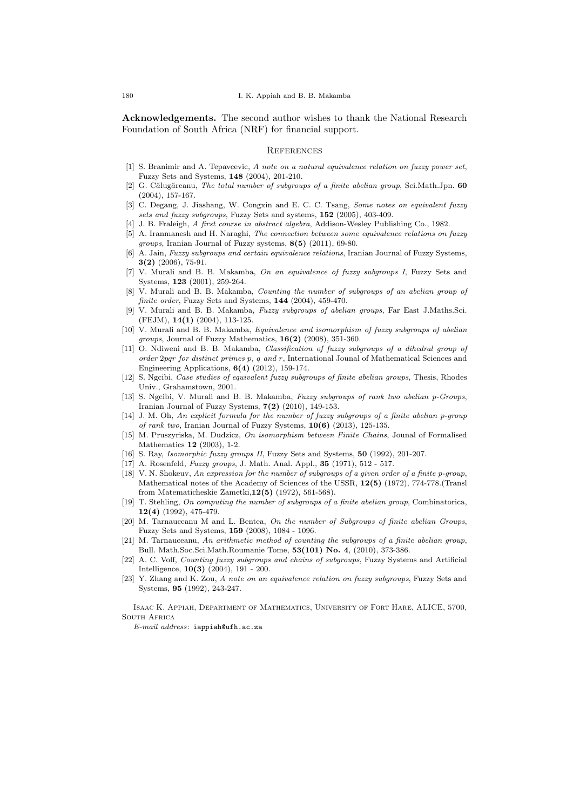Acknowledgements. The second author wishes to thank the National Research Foundation of South Africa (NRF) for financial support.

#### **REFERENCES**

- [1] S. Branimir and A. Tepavcevic, A note on a natural equivalence relation on fuzzy power set, Fuzzy Sets and Systems, 148 (2004), 201-210.
- $[2]$  G. Călugăreanu, The total number of subgroups of a finite abelian group, Sci.Math.Jpn. 60 (2004), 157-167.
- [3] C. Degang, J. Jiashang, W. Congxin and E. C. C. Tsang, Some notes on equivalent fuzzy sets and fuzzy subgroups, Fuzzy Sets and systems, 152 (2005), 403-409.
- [4] J. B. Fraleigh, A first course in abstract algebra, Addison-Wesley Publishing Co., 1982.
- [5] A. Iranmanesh and H. Naraghi, The connection between some equivalence relations on fuzzy groups, Iranian Journal of Fuzzy systems, 8(5) (2011), 69-80.
- [6] A. Jain, Fuzzy subgroups and certain equivalence relations, Iranian Journal of Fuzzy Systems, 3(2) (2006), 75-91.
- [7] V. Murali and B. B. Makamba, On an equivalence of fuzzy subgroups I, Fuzzy Sets and Systems, 123 (2001), 259-264.
- [8] V. Murali and B. B. Makamba, Counting the number of subgroups of an abelian group of finite order, Fuzzy Sets and Systems, 144 (2004), 459-470.
- [9] V. Murali and B. B. Makamba, Fuzzy subgroups of abelian groups, Far East J.Maths.Sci. (FEJM), 14(1) (2004), 113-125.
- [10] V. Murali and B. B. Makamba, *Equivalence and isomorphism of fuzzy subgroups of abelian groups*, Journal of Fuzzy Mathematics,  $16(2)$  (2008), 351-360.
- [11] O. Ndiweni and B. B. Makamba, Classification of fuzzy subgroups of a dihedral group of order  $2pqr$  for distinct primes p, q and r, International Jounal of Mathematical Sciences and Engineering Applications, 6(4) (2012), 159-174.
- [12] S. Ngcibi, Case studies of equivalent fuzzy subgroups of finite abelian groups, Thesis, Rhodes Univ., Grahamstown, 2001.
- [13] S. Ngcibi, V. Murali and B. B. Makamba, Fuzzy subgroups of rank two abelian p-Groups, Iranian Journal of Fuzzy Systems,  $7(2)$  (2010), 149-153.
- [14] J. M. Oh, An explicit formula for the number of fuzzy subgroups of a finite abelian p-group of rank two, Iranian Journal of Fuzzy Systems,  $10(6)$  (2013), 125-135.
- [15] M. Pruszyriska, M. Dudzicz, On isomorphism between Finite Chains, Jounal of Formalised Mathematics 12 (2003), 1-2.
- [16] S. Ray, Isomorphic fuzzy groups II, Fuzzy Sets and Systems, 50 (1992), 201-207.
- A. Rosenfeld, Fuzzy groups, J. Math. Anal. Appl., 35 (1971), 512 517.
- [18] V. N. Shokeuv, An expression for the number of subgroups of a given order of a finite p-group, Mathematical notes of the Academy of Sciences of the USSR, 12(5) (1972), 774-778.(Transl from Matematicheskie Zametki,12(5) (1972), 561-568).
- [19] T. Stehling, On computing the number of subgroups of a finite abelian group, Combinatorica, 12(4) (1992), 475-479.
- [20] M. Tarnauceanu M and L. Bentea, On the number of Subgroups of finite abelian Groups, Fuzzy Sets and Systems, 159 (2008), 1084 - 1096.
- [21] M. Tarnauceanu, An arithmetic method of counting the subgroups of a finite abelian group, Bull. Math.Soc.Sci.Math.Roumanie Tome, 53(101) No. 4, (2010), 373-386.
- [22] A. C. Volf, Counting fuzzy subgroups and chains of subgroups, Fuzzy Systems and Artificial Intelligence, 10(3) (2004), 191 - 200.
- [23] Y. Zhang and K. Zou, A note on an equivalence relation on fuzzy subgroups, Fuzzy Sets and Systems, 95 (1992), 243-247.

Isaac K. Appiah, Department of Mathematics, University of Fort Hare, ALICE, 5700, SOUTH AFRICA

E-mail address: iappiah@ufh.ac.za